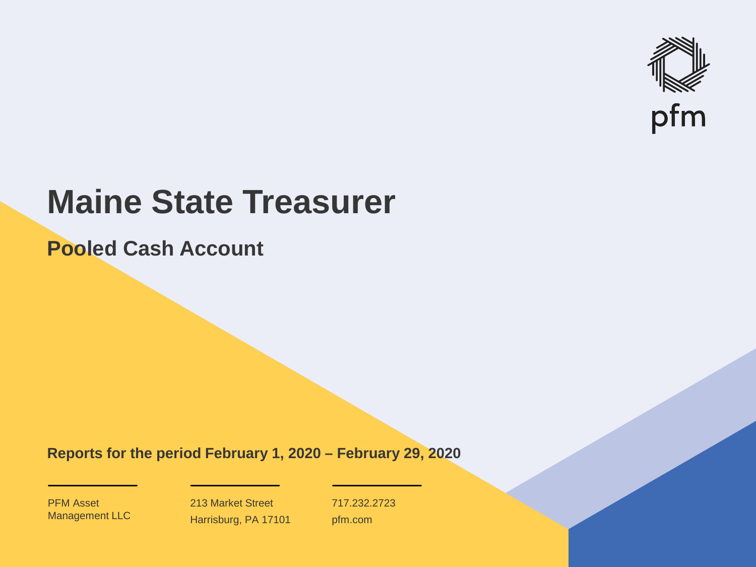

# **Maine State Treasurer**

**Pooled Cash Account**

**Reports for the period February 1, 2020 – February 29, 2020**

PFM Asset Management LLC

213 Market Street Harrisburg, PA 17101 717.232.2723 pfm.com

 $\mathcal{P}_\text{max}$  and  $\mathcal{P}_\text{max}$  is the probability of  $\mathcal{P}_\text{max}$  and  $\mathcal{P}_\text{max}$  and  $\mathcal{P}_\text{max}$  and  $\mathcal{P}_\text{max}$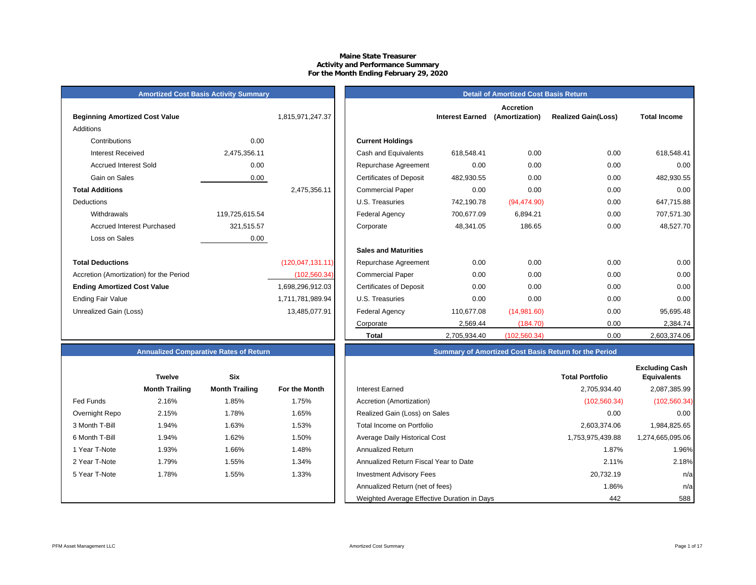# **Maine State Treasurer Activity and Performance Summary For the Month Ending February 29, 2020**

| <b>Amortized Cost Basis Activity Summary</b> |  |  |
|----------------------------------------------|--|--|
|----------------------------------------------|--|--|

| <b>Beginning Amortized Cost Value</b>   |                | 1,815,971,247.37    | <b>Interest Earned</b>                       |
|-----------------------------------------|----------------|---------------------|----------------------------------------------|
| Additions                               |                |                     |                                              |
| Contributions                           | 0.00           |                     | <b>Current Holdings</b>                      |
| <b>Interest Received</b>                | 2,475,356.11   |                     | Cash and Equivalents<br>618,548.41           |
| <b>Accrued Interest Sold</b>            | 0.00           |                     | 0.00<br>Repurchase Agreement                 |
| Gain on Sales                           | 0.00           |                     | <b>Certificates of Deposit</b><br>482,930.55 |
| <b>Total Additions</b>                  |                | 2,475,356.11        | 0.00<br><b>Commercial Paper</b>              |
| Deductions                              |                |                     | U.S. Treasuries<br>742,190.78                |
| Withdrawals                             | 119,725,615.54 |                     | Federal Agency<br>700,677.09                 |
| Accrued Interest Purchased              | 321,515.57     |                     | 48,341.05<br>Corporate                       |
| Loss on Sales                           | 0.00           |                     |                                              |
|                                         |                |                     | <b>Sales and Maturities</b>                  |
| <b>Total Deductions</b>                 |                | (120, 047, 131, 11) | 0.00<br>Repurchase Agreement                 |
| Accretion (Amortization) for the Period |                | (102, 560.34)       | 0.00<br><b>Commercial Paper</b>              |
| <b>Ending Amortized Cost Value</b>      |                | 1,698,296,912.03    | 0.00<br><b>Certificates of Deposit</b>       |
| <b>Ending Fair Value</b>                |                | 1,711,781,989.94    | 0.00<br>U.S. Treasuries                      |
| Unrealized Gain (Loss)                  |                | 13,485,077.91       | Federal Agency<br>110,677.08                 |
|                                         |                |                     |                                              |

| <b>Amortized Cost Basis Activity Summary</b> | <b>Detail of Amortized Cost Basis Return</b> |                    |                                |                        |                                    |                            |                     |
|----------------------------------------------|----------------------------------------------|--------------------|--------------------------------|------------------------|------------------------------------|----------------------------|---------------------|
| <b>Beginning Amortized Cost Value</b>        |                                              | 1,815,971,247.37   |                                | <b>Interest Earned</b> | <b>Accretion</b><br>(Amortization) | <b>Realized Gain(Loss)</b> | <b>Total Income</b> |
| Additions                                    |                                              |                    |                                |                        |                                    |                            |                     |
| Contributions                                | 0.00                                         |                    | <b>Current Holdings</b>        |                        |                                    |                            |                     |
| <b>Interest Received</b>                     | 2,475,356.11                                 |                    | Cash and Equivalents           | 618,548.41             | 0.00                               | 0.00                       | 618,548.41          |
| <b>Accrued Interest Sold</b>                 | 0.00                                         |                    | Repurchase Agreement           | 0.00                   | 0.00                               | 0.00                       | 0.00                |
| Gain on Sales                                | 0.00                                         |                    | <b>Certificates of Deposit</b> | 482,930.55             | 0.00                               | 0.00                       | 482,930.55          |
| <b>Total Additions</b>                       |                                              | 2,475,356.11       | <b>Commercial Paper</b>        | 0.00                   | 0.00                               | 0.00                       | 0.00                |
| Deductions                                   |                                              |                    | U.S. Treasuries                | 742,190.78             | (94, 474.90)                       | 0.00                       | 647,715.88          |
| Withdrawals                                  | 119,725,615.54                               |                    | <b>Federal Agency</b>          | 700,677.09             | 6,894.21                           | 0.00                       | 707,571.30          |
| <b>Accrued Interest Purchased</b>            | 321,515.57                                   |                    | Corporate                      | 48,341.05              | 186.65                             | 0.00                       | 48,527.70           |
| Loss on Sales                                | 0.00                                         |                    |                                |                        |                                    |                            |                     |
|                                              |                                              |                    | <b>Sales and Maturities</b>    |                        |                                    |                            |                     |
| <b>Total Deductions</b>                      |                                              | (120, 047, 131.11) | Repurchase Agreement           | 0.00                   | 0.00                               | 0.00                       | 0.00                |
| Accretion (Amortization) for the Period      |                                              | (102, 560.34)      | <b>Commercial Paper</b>        | 0.00                   | 0.00                               | 0.00                       | 0.00                |
| <b>Ending Amortized Cost Value</b>           |                                              | 1,698,296,912.03   | <b>Certificates of Deposit</b> | 0.00                   | 0.00                               | 0.00                       | 0.00                |
| Ending Fair Value                            |                                              | 1,711,781,989.94   | U.S. Treasuries                | 0.00                   | 0.00                               | 0.00                       | 0.00                |
| Unrealized Gain (Loss)                       |                                              | 13,485,077.91      | <b>Federal Agency</b>          | 110,677.08             | (14,981.60)                        | 0.00                       | 95,695.48           |
|                                              |                                              |                    | Corporate                      | 2,569.44               | (184.70)                           | 0.00                       | 2,384.74            |
|                                              |                                              |                    | <b>Total</b>                   | 2,705,934.40           | (102, 560.34)                      | 0.00                       | 2,603,374.06        |

# **Annualized Comparative Rates of Return**

|                | <b>Twelve</b>         | <b>Six</b>            |               |
|----------------|-----------------------|-----------------------|---------------|
|                | <b>Month Trailing</b> | <b>Month Trailing</b> | For the Month |
| Fed Funds      | 2.16%                 | 1.85%                 | 1.75%         |
| Overnight Repo | 2.15%                 | 1.78%                 | 1.65%         |
| 3 Month T-Bill | 1.94%                 | 1.63%                 | 1.53%         |
| 6 Month T-Bill | 1.94%                 | 1.62%                 | 1.50%         |
| 1 Year T-Note  | 1.93%                 | 1.66%                 | 1.48%         |
| 2 Year T-Note  | 1.79%                 | 1.55%                 | 1.34%         |
| 5 Year T-Note  | 1.78%                 | 1.55%                 | 1.33%         |
|                |                       |                       |               |
|                |                       |                       |               |

| Summary of Amortized Cost Basis Return for the Period |  |  |
|-------------------------------------------------------|--|--|
|                                                       |  |  |

|                  | <b>Twelve</b>         | <b>Six</b>            |               |                                             | <b>Total Portfolio</b> | <b>Excluding Cash</b><br><b>Equivalents</b> |
|------------------|-----------------------|-----------------------|---------------|---------------------------------------------|------------------------|---------------------------------------------|
|                  | <b>Month Trailing</b> | <b>Month Trailing</b> | For the Month | <b>Interest Earned</b>                      | 2,705,934.40           | 2,087,385.99                                |
| <b>Fed Funds</b> | 2.16%                 | 1.85%                 | 1.75%         | Accretion (Amortization)                    | (102, 560.34)          | (102, 560.34)                               |
| Overnight Repo   | 2.15%                 | 1.78%                 | 1.65%         | Realized Gain (Loss) on Sales               | 0.00                   | 0.00                                        |
| 3 Month T-Bill   | 1.94%                 | 1.63%                 | 1.53%         | Total Income on Portfolio                   | 2,603,374.06           | 1,984,825.65                                |
| 6 Month T-Bill   | 1.94%                 | 1.62%                 | 1.50%         | Average Daily Historical Cost               | 1,753,975,439.88       | 1,274,665,095.06                            |
| 1 Year T-Note    | 1.93%                 | 1.66%                 | 1.48%         | <b>Annualized Return</b>                    | 1.87%                  | 1.96%                                       |
| 2 Year T-Note    | 1.79%                 | 1.55%                 | 1.34%         | Annualized Return Fiscal Year to Date       | 2.11%                  | 2.18%                                       |
| 5 Year T-Note    | 1.78%                 | 1.55%                 | 1.33%         | <b>Investment Advisory Fees</b>             | 20,732.19              | n/a                                         |
|                  |                       |                       |               | Annualized Return (net of fees)             | 1.86%                  | n/a                                         |
|                  |                       |                       |               | Weighted Average Effective Duration in Days | 442                    | 588                                         |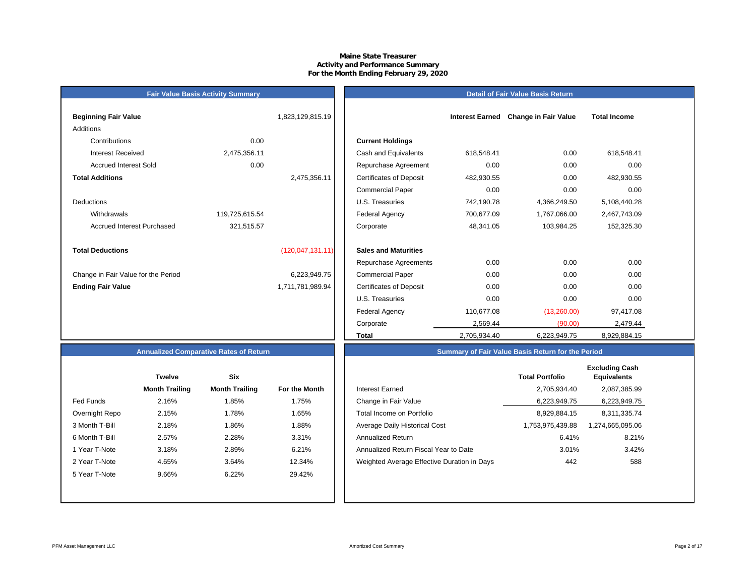## **Maine State Treasurer Activity and Performance Summary For the Month Ending February 29, 2020**

# **Detail of Fair Value Basis Return**

| <b>Beginning Fair Value</b>         |                | 1,823,129,815.19    |                                |
|-------------------------------------|----------------|---------------------|--------------------------------|
| Additions                           |                |                     |                                |
| Contributions                       | 0.00           |                     | <b>Current Holdings</b>        |
| Interest Received                   | 2,475,356.11   |                     | Cash and Equivalents           |
| Accrued Interest Sold               | 0.00           |                     | Repurchase Agreeme             |
| <b>Total Additions</b>              |                | 2,475,356.11        | <b>Certificates of Deposit</b> |
|                                     |                |                     | <b>Commercial Paper</b>        |
| <b>Deductions</b>                   |                |                     | U.S. Treasuries                |
| Withdrawals                         | 119,725,615.54 |                     | <b>Federal Agency</b>          |
| Accrued Interest Purchased          | 321,515.57     |                     | Corporate                      |
|                                     |                |                     |                                |
| <b>Total Deductions</b>             |                | (120, 047, 131, 11) | <b>Sales and Maturities</b>    |
|                                     |                |                     | Repurchase Agreeme             |
| Change in Fair Value for the Period |                | 6,223,949.75        | <b>Commercial Paper</b>        |
| <b>Ending Fair Value</b>            |                | 1,711,781,989.94    | <b>Certificates of Deposit</b> |

**Fair Value Basis Activity Summary**

| Beginning Fair Value                |                | 1,823,129,815.19   |                                |              | Interest Earned Change in Fair Value | <b>Total Income</b> |  |
|-------------------------------------|----------------|--------------------|--------------------------------|--------------|--------------------------------------|---------------------|--|
| Additions                           |                |                    |                                |              |                                      |                     |  |
| Contributions                       | 0.00           |                    | <b>Current Holdings</b>        |              |                                      |                     |  |
| <b>Interest Received</b>            | 2,475,356.11   |                    | Cash and Equivalents           | 618,548.41   | 0.00                                 | 618,548.41          |  |
| <b>Accrued Interest Sold</b>        | 0.00           |                    | Repurchase Agreement           | 0.00         | 0.00                                 | 0.00                |  |
| <b>Total Additions</b>              |                | 2,475,356.11       | <b>Certificates of Deposit</b> | 482,930.55   | 0.00                                 | 482,930.55          |  |
|                                     |                |                    | <b>Commercial Paper</b>        | 0.00         | 0.00                                 | 0.00                |  |
| Deductions                          |                |                    | U.S. Treasuries                | 742,190.78   | 4,366,249.50                         | 5,108,440.28        |  |
| Withdrawals                         | 119,725,615.54 |                    | Federal Agency                 | 700,677.09   | 1,767,066.00                         | 2,467,743.09        |  |
| <b>Accrued Interest Purchased</b>   | 321,515.57     |                    | Corporate                      | 48,341.05    | 103,984.25                           | 152,325.30          |  |
| <b>Total Deductions</b>             |                | (120, 047, 131.11) | <b>Sales and Maturities</b>    |              |                                      |                     |  |
|                                     |                |                    | Repurchase Agreements          | 0.00         | 0.00                                 | 0.00                |  |
| Change in Fair Value for the Period |                | 6,223,949.75       | <b>Commercial Paper</b>        | 0.00         | 0.00                                 | 0.00                |  |
| <b>Ending Fair Value</b>            |                | 1,711,781,989.94   | <b>Certificates of Deposit</b> | 0.00         | 0.00                                 | 0.00                |  |
|                                     |                |                    | U.S. Treasuries                | 0.00         | 0.00                                 | 0.00                |  |
|                                     |                |                    | <b>Federal Agency</b>          | 110,677.08   | (13,260.00)                          | 97,417.08           |  |
|                                     |                |                    | Corporate                      | 2,569.44     | (90.00)                              | 2,479.44            |  |
|                                     |                |                    | <b>Total</b>                   | 2,705,934.40 | 6,223,949.75                         | 8,929,884.15        |  |

# **Annualized Comparative Rates of Return**

|                | <b>Twelve</b>         | <b>Six</b>            |                      |
|----------------|-----------------------|-----------------------|----------------------|
|                | <b>Month Trailing</b> | <b>Month Trailing</b> | <b>For the Month</b> |
| Fed Funds      | 2.16%                 | 1.85%                 | 1.75%                |
| Overnight Repo | 2.15%                 | 1.78%                 | 1.65%                |
| 3 Month T-Bill | 2.18%                 | 1.86%                 | 1.88%                |
| 6 Month T-Bill | 2.57%                 | 2.28%                 | 3.31%                |
| 1 Year T-Note  | 3.18%                 | 2.89%                 | 6.21%                |
| 2 Year T-Note  | 4.65%                 | 3.64%                 | 12.34%               |
| 5 Year T-Note  | 9.66%                 | 6.22%                 | 29.42%               |
|                |                       |                       |                      |
|                |                       |                       |                      |

|                | <b>Twelve</b>         | <b>Six</b>            |               |                                             | <b>Total Portfolio</b> | <b>Excluding Cash</b><br><b>Equivalents</b> |
|----------------|-----------------------|-----------------------|---------------|---------------------------------------------|------------------------|---------------------------------------------|
|                | <b>Month Trailing</b> | <b>Month Trailing</b> | For the Month | Interest Earned                             | 2,705,934.40           | 2,087,385.99                                |
| Fed Funds      | 2.16%                 | l.85%                 | 1.75%         | Change in Fair Value                        | 6,223,949.75           | 6,223,949.75                                |
| Overnight Repo | 2.15%                 | 1.78%                 | 1.65%         | Total Income on Portfolio                   | 8,929,884.15           | 8,311,335.74                                |
| 3 Month T-Bill | 2.18%                 | $.86\%$               | 1.88%         | Average Daily Historical Cost               | 1,753,975,439.88       | ,274,665,095.06                             |
| 6 Month T-Bill | 2.57%                 | 2.28%                 | 3.31%         | Annualized Return                           | 6.41%                  | 8.21%                                       |
| 1 Year T-Note  | 3.18%                 | 2.89%                 | 6.21%         | Annualized Return Fiscal Year to Date       | 3.01%                  | 3.42%                                       |
| 2 Year T-Note  | 4.65%                 | 3.64%                 | 12.34%        | Weighted Average Effective Duration in Days | 442                    | 588                                         |
| 5 Year T-Note  | 9.66%                 | 6.22%                 | 29.42%        |                                             |                        |                                             |
|                |                       |                       |               |                                             |                        |                                             |

**Summary of Fair Value Basis Return for the Period**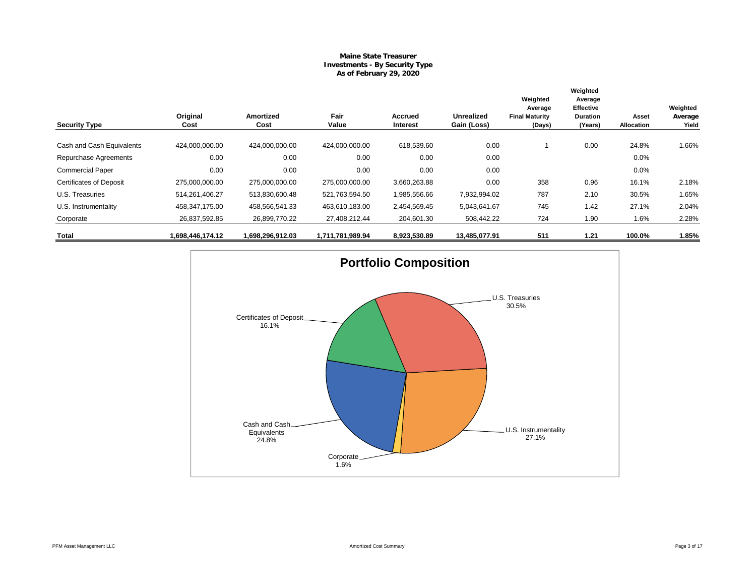# **Maine State Treasurer Investments - By Security Type As of February 29, 2020**

|                                |                  |                          |                  |                     |                                  | Weighted                                   | Weighted<br>Average                     |                     |                              |
|--------------------------------|------------------|--------------------------|------------------|---------------------|----------------------------------|--------------------------------------------|-----------------------------------------|---------------------|------------------------------|
| <b>Security Type</b>           | Original<br>Cost | <b>Amortized</b><br>Cost | Fair<br>Value    | Accrued<br>Interest | <b>Unrealized</b><br>Gain (Loss) | Average<br><b>Final Maturity</b><br>(Days) | Effective<br><b>Duration</b><br>(Years) | Asset<br>Allocation | Weighted<br>Average<br>Yield |
| Cash and Cash Equivalents      | 424,000,000.00   | 424,000,000.00           | 424.000.000.00   | 618.539.60          | 0.00                             |                                            | 0.00                                    | 24.8%               | 1.66%                        |
| Repurchase Agreements          | 0.00             | 0.00                     | 0.00             | 0.00                | 0.00                             |                                            |                                         | 0.0%                |                              |
| <b>Commercial Paper</b>        | 0.00             | 0.00                     | 0.00             | 0.00                | 0.00                             |                                            |                                         | 0.0%                |                              |
| <b>Certificates of Deposit</b> | 275,000,000.00   | 275,000,000.00           | 275,000,000.00   | 3,660,263.88        | 0.00                             | 358                                        | 0.96                                    | 16.1%               | 2.18%                        |
| U.S. Treasuries                | 514,261,406.27   | 513,830,600.48           | 521,763,594.50   | 1,985,556.66        | 7,932,994.02                     | 787                                        | 2.10                                    | 30.5%               | 1.65%                        |
| U.S. Instrumentality           | 458,347,175.00   | 458,566,541.33           | 463,610,183.00   | 2,454,569.45        | 5,043,641.67                     | 745                                        | 1.42                                    | 27.1%               | 2.04%                        |
| Corporate                      | 26,837,592.85    | 26,899,770.22            | 27,408,212.44    | 204,601.30          | 508,442.22                       | 724                                        | 1.90                                    | 1.6%                | 2.28%                        |
| Total                          | .698,446,174.12  | 1,698,296,912.03         | 1,711,781,989.94 | 8,923,530.89        | 13,485,077.91                    | 511                                        | 1.21                                    | 100.0%              | 1.85%                        |

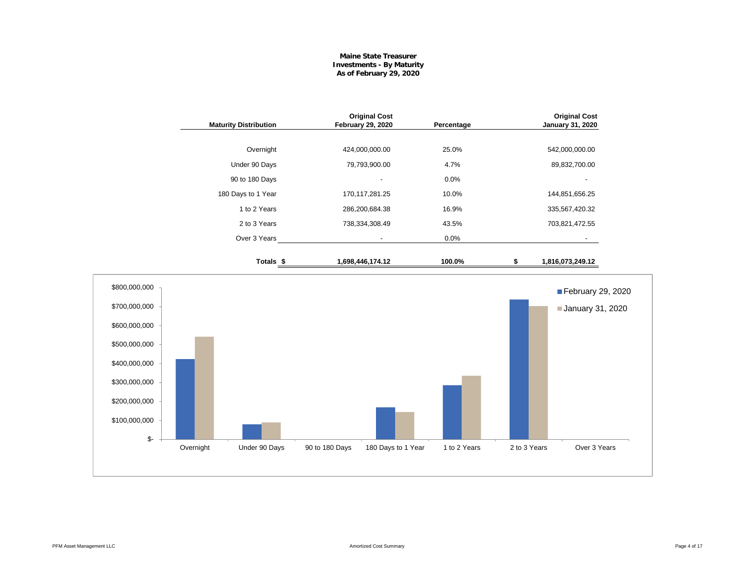# **Maine State Treasurer Investments - By Maturity As of February 29, 2020**

| <b>Maturity Distribution</b> | <b>Original Cost</b><br><b>February 29, 2020</b> | Percentage | <b>Original Cost</b><br><b>January 31, 2020</b> |
|------------------------------|--------------------------------------------------|------------|-------------------------------------------------|
| Overnight                    | 424,000,000.00                                   | 25.0%      | 542,000,000.00                                  |
| Under 90 Days                | 79,793,900.00                                    | 4.7%       | 89,832,700.00                                   |
| 90 to 180 Days               |                                                  | 0.0%       |                                                 |
| 180 Days to 1 Year           | 170,117,281.25                                   | 10.0%      | 144,851,656.25                                  |
| 1 to 2 Years                 | 286,200,684.38                                   | 16.9%      | 335,567,420.32                                  |
| 2 to 3 Years                 | 738,334,308.49                                   | 43.5%      | 703,821,472.55                                  |
| Over 3 Years                 | $\overline{\phantom{a}}$                         | 0.0%       |                                                 |
| Totals \$                    | 1,698,446,174.12                                 | 100.0%     | 1,816,073,249.12<br>5                           |
|                              |                                                  |            | February 29, 2                                  |
|                              |                                                  |            | January 31, 20                                  |

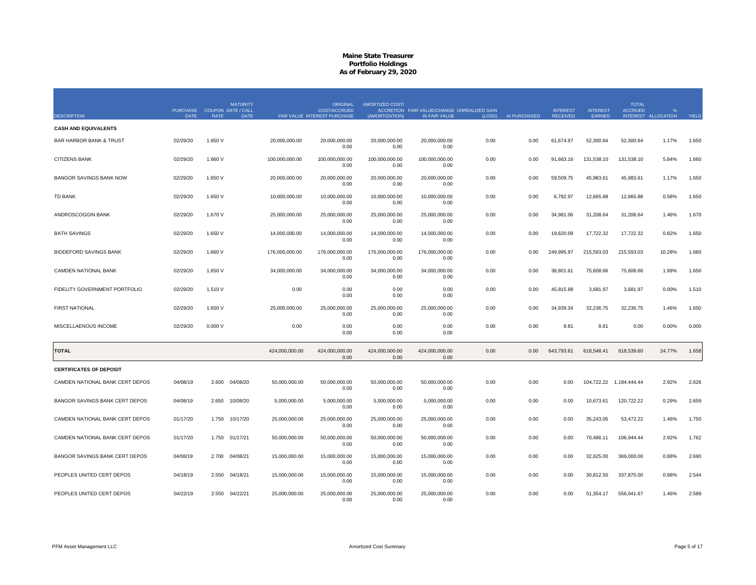|                                    | PURCHASE COUPON DATE / CALL |             | <b>MATURITY</b> |                | <b>ORIGINAL</b><br><b>COST/ACCRUED</b> | AMORTIZED COST/        | ACCRETION FAIR VALUE/CHANGE UNREALIZED GAIN |        |              | <b>INTEREST</b> | <b>INTEREST</b> | <b>TOTAL</b><br><b>ACCRUED</b> |                     |       |
|------------------------------------|-----------------------------|-------------|-----------------|----------------|----------------------------------------|------------------------|---------------------------------------------|--------|--------------|-----------------|-----------------|--------------------------------|---------------------|-------|
| <b>DESCRIPTION</b>                 | <b>DATE</b>                 | <b>RATE</b> | <b>DATE</b>     |                | PAR VALUE INTEREST PURCHASE            | (AMORTIZATION)         | IN FAIR VALUE                               | (LOSS) | AI PURCHASED | <b>RECEIVED</b> | EARNED          |                                | INTEREST ALLOCATION | YIELD |
| <b>CASH AND EQUIVALENTS</b>        |                             |             |                 |                |                                        |                        |                                             |        |              |                 |                 |                                |                     |       |
| <b>BAR HARBOR BANK &amp; TRUST</b> | 02/29/20                    | 1.650 V     |                 | 20,000,000.00  | 20,000,000.00<br>0.00                  | 20.000.000.00<br>0.00  | 20,000,000.00<br>0.00                       | 0.00   | 0.00         | 61,674.97       | 52,300.64       | 52,300.64                      | 1.17%               | 1.650 |
| <b>CITIZENS BANK</b>               | 02/29/20                    | 1.660 V     |                 | 100,000,000.00 | 100,000,000.00<br>0.00                 | 100,000,000.00<br>0.00 | 100,000,000.00<br>0.00                      | 0.00   | 0.00         | 91,663.16       | 131,538.10      | 131,538.10                     | 5.84%               | 1.660 |
| <b>BANGOR SAVINGS BANK NOW</b>     | 02/29/20                    | 1.650 V     |                 | 20,000,000.00  | 20,000,000.00<br>0.00                  | 20,000,000.00<br>0.00  | 20,000,000.00<br>0.00                       | 0.00   | 0.00         | 59,509.75       | 45,983.61       | 45,983.61                      | 1.17%               | 1.650 |
| <b>TD BANK</b>                     | 02/29/20                    | 1.650 V     |                 | 10,000,000.00  | 10,000,000.00<br>0.00                  | 10,000,000.00<br>0.00  | 10,000,000.00<br>0.00                       | 0.00   | 0.00         | 6,782.97        | 12,665.88       | 12,665.88                      | 0.58%               | 1.650 |
| ANDROSCOGGIN BANK                  | 02/29/20                    | 1.670 V     |                 | 25,000,000.00  | 25,000,000.00<br>0.00                  | 25,000,000.00<br>0.00  | 25,000,000.00<br>0.00                       | 0.00   | 0.00         | 34,981.06       | 31,208.64       | 31,208.64                      | 1.46%               | 1.670 |
| <b>BATH SAVINGS</b>                | 02/29/20                    | 1.650 V     |                 | 14,000,000.00  | 14,000,000.00<br>0.00                  | 14,000,000.00<br>0.00  | 14,000,000.00<br>0.00                       | 0.00   | 0.00         | 19,620.09       | 17,722.32       | 17,722.32                      | 0.82%               | 1.650 |
| <b>BIDDEFORD SAVINGS BANK</b>      | 02/29/20                    | 1.660 V     |                 | 176,000,000.00 | 176,000,000.00<br>0.00                 | 176,000,000.00<br>0.00 | 176,000,000.00<br>0.00                      | 0.00   | 0.00         | 249,995.97      | 215,593.03      | 215,593.03                     | 10.28%              | 1.660 |
| CAMDEN NATIONAL BANK               | 02/29/20                    | 1.650 V     |                 | 34,000,000.00  | 34,000,000.00<br>0.00                  | 34,000,000.00<br>0.00  | 34,000,000.00<br>0.00                       | 0.00   | 0.00         | 38,801.61       | 75,608.66       | 75,608.66                      | 1.99%               | 1.650 |
| FIDELITY GOVERNMENT PORTFOLIO      | 02/29/20                    | 1.510 V     |                 | 0.00           | 0.00<br>0.00                           | 0.00<br>0.00           | 0.00<br>0.00                                | 0.00   | 0.00         | 45,815.88       | 3,681.97        | 3,681.97                       | 0.00%               | 1.510 |
| <b>FIRST NATIONAL</b>              | 02/29/20                    | 1.650 V     |                 | 25,000,000.00  | 25,000,000.00<br>0.00                  | 25,000,000.00<br>0.00  | 25,000,000.00<br>0.00                       | 0.00   | 0.00         | 34,939.34       | 32,236.75       | 32,236.75                      | 1.46%               | 1.650 |
| MISCELLAENOUS INCOME               | 02/29/20                    | 0.000V      |                 | 0.00           | 0.00<br>0.00                           | 0.00<br>0.00           | 0.00<br>0.00                                | 0.00   | 0.00         | 8.81            | 8.81            | 0.00                           | 0.00%               | 0.000 |
| <b>TOTAL</b>                       |                             |             |                 | 424,000,000.00 | 424,000,000.00<br>0.00                 | 424,000,000.00<br>0.00 | 424,000,000.00<br>0.00                      | 0.00   | 0.00         | 643,793.61      | 618,548.41      | 618,539.60                     | 24.77%              | 1.658 |
| <b>CERTIFICATES OF DEPOSIT</b>     |                             |             |                 |                |                                        |                        |                                             |        |              |                 |                 |                                |                     |       |
| CAMDEN NATIONAL BANK CERT DEPOS    | 04/08/19                    | 2.600       | 04/08/20        | 50,000,000.00  | 50,000,000.00<br>0.00                  | 50,000,000.00<br>0.00  | 50,000,000.00<br>0.00                       | 0.00   | 0.00         | 0.00            |                 | 104,722.22 1,184,444.44        | 2.92%               | 2.626 |
| BANGOR SAVINGS BANK CERT DEPOS     | 04/08/19                    | 2.650       | 10/08/20        | 5,000,000.00   | 5,000,000.00<br>0.00                   | 5,000,000.00<br>0.00   | 5,000,000.00<br>0.00                        | 0.00   | 0.00         | 0.00            | 10,673.61       | 120,722.22                     | 0.29%               | 2.659 |
| CAMDEN NATIONAL BANK CERT DEPOS    | 01/17/20                    | 1.750       | 10/17/20        | 25,000,000.00  | 25,000,000.00<br>0.00                  | 25,000,000.00<br>0.00  | 25,000,000.00<br>0.00                       | 0.00   | 0.00         | 0.00            | 35,243.05       | 53,472.22                      | 1.46%               | 1.750 |
| CAMDEN NATIONAL BANK CERT DEPOS    | 01/17/20                    |             | 1.750 01/17/21  | 50,000,000.00  | 50,000,000.00<br>0.00                  | 50,000,000.00<br>0.00  | 50,000,000.00<br>0.00                       | 0.00   | 0.00         | 0.00            | 70,486.11       | 106,944.44                     | 2.92%               | 1.762 |
| BANGOR SAVINGS BANK CERT DEPOS     | 04/08/19                    | 2.700       | 04/08/21        | 15,000,000.00  | 15,000,000.00<br>0.00                  | 15,000,000.00<br>0.00  | 15,000,000.00<br>0.00                       | 0.00   | 0.00         | 0.00            | 32,625.00       | 369,000.00                     | 0.88%               | 2.690 |
| PEOPLES UNITED CERT DEPOS          | 04/18/19                    | 2.550       | 04/18/21        | 15,000,000.00  | 15,000,000.00<br>0.00                  | 15,000,000.00<br>0.00  | 15,000,000.00<br>0.00                       | 0.00   | 0.00         | 0.00            | 30,812.50       | 337,875.00                     | 0.88%               | 2.544 |
| PEOPLES UNITED CERT DEPOS          | 04/22/19                    | 2.550       | 04/22/21        | 25,000,000.00  | 25,000,000.00<br>0.00                  | 25,000,000.00<br>0.00  | 25,000,000.00<br>0.00                       | 0.00   | 0.00         | 0.00            | 51,354.17       | 556,041.67                     | 1.46%               | 2.589 |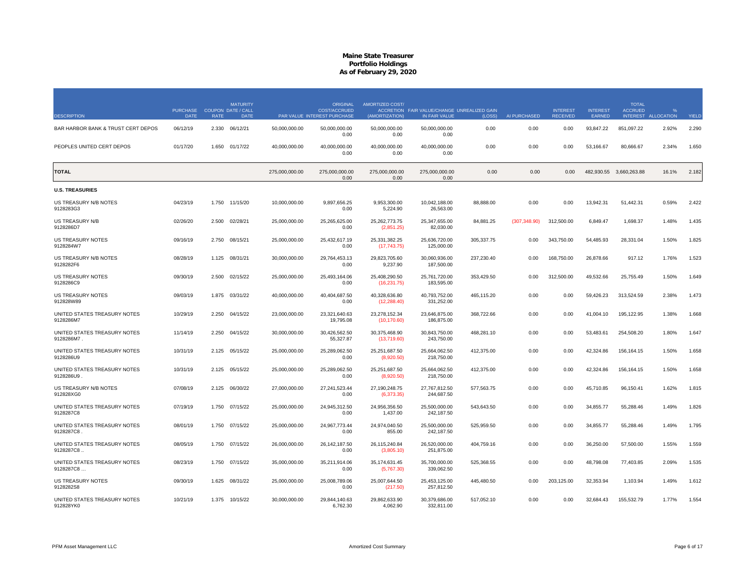|                                           | <b>PURCHASE</b> |             | <b>MATURITY</b><br><b>COUPON DATE / CALL</b> |                | <b>ORIGINAL</b><br><b>COST/ACCRUED</b> | AMORTIZED COST/               | ACCRETION FAIR VALUE/CHANGE UNREALIZED GAIN |            |               | <b>INTEREST</b> | <b>INTEREST</b> | <b>TOTAL</b><br><b>ACCRUED</b> |            |       |
|-------------------------------------------|-----------------|-------------|----------------------------------------------|----------------|----------------------------------------|-------------------------------|---------------------------------------------|------------|---------------|-----------------|-----------------|--------------------------------|------------|-------|
| <b>DESCRIPTION</b>                        | <b>DATE</b>     | <b>RATE</b> | <b>DATE</b>                                  |                | PAR VALUE INTEREST PURCHASE            | (AMORTIZATION)                | IN FAIR VALUE                               | (LOSS)     | AI PURCHASED  | <b>RECEIVED</b> | EARNED          | <b>INTEREST</b>                | ALLOCATION | YIELD |
| BAR HARBOR BANK & TRUST CERT DEPOS        | 06/12/19        | 2.330       | 06/12/21                                     | 50,000,000.00  | 50,000,000.00<br>0.00                  | 50,000,000.00<br>0.00         | 50,000,000.00<br>0.00                       | 0.00       | 0.00          | 0.00            | 93,847.22       | 851,097.22                     | 2.92%      | 2.290 |
| PEOPLES UNITED CERT DEPOS                 | 01/17/20        | 1.650       | 01/17/22                                     | 40,000,000.00  | 40,000,000.00<br>0.00                  | 40,000,000.00<br>0.00         | 40,000,000.00<br>0.00                       | 0.00       | 0.00          | 0.00            | 53,166.67       | 80,666.67                      | 2.34%      | 1.650 |
| <b>TOTAL</b>                              |                 |             |                                              | 275,000,000.00 | 275,000,000.00<br>0.00                 | 275,000,000.00<br>0.00        | 275,000,000.00<br>0.00                      | 0.00       | 0.00          | 0.00            |                 | 482,930.55 3,660,263.88        | 16.1%      | 2.182 |
| <b>U.S. TREASURIES</b>                    |                 |             |                                              |                |                                        |                               |                                             |            |               |                 |                 |                                |            |       |
| US TREASURY N/B NOTES<br>9128283G3        | 04/23/19        | 1.750       | 11/15/20                                     | 10,000,000.00  | 9,897,656.25<br>0.00                   | 9,953,300.00<br>5,224.90      | 10,042,188.00<br>26,563.00                  | 88,888.00  | 0.00          | 0.00            | 13,942.31       | 51,442.31                      | 0.59%      | 2.422 |
| US TREASURY N/B<br>9128286D7              | 02/26/20        | 2.500       | 02/28/21                                     | 25,000,000.00  | 25,265,625.00<br>0.00                  | 25,262,773.75<br>(2,851.25)   | 25,347,655.00<br>82,030.00                  | 84,881.25  | (307, 348.90) | 312,500.00      | 6,849.47        | 1,698.37                       | 1.48%      | 1.435 |
| <b>US TREASURY NOTES</b><br>9128284W7     | 09/16/19        | 2.750       | 08/15/21                                     | 25,000,000.00  | 25,432,617.19<br>0.00                  | 25,331,382.25<br>(17,743.75)  | 25,636,720.00<br>125,000.00                 | 305,337.75 | 0.00          | 343,750.00      | 54,485.93       | 28,331.04                      | 1.50%      | 1.825 |
| US TREASURY N/B NOTES<br>9128282F6        | 08/28/19        | 1 1 2 5     | 08/31/21                                     | 30,000,000.00  | 29.764.453.13<br>0.00                  | 29.823.705.60<br>9,237.90     | 30.060.936.00<br>187,500.00                 | 237,230.40 | 0.00          | 168,750.00      | 26,878.66       | 917.12                         | 1.76%      | 1.523 |
| <b>US TREASURY NOTES</b><br>9128286C9     | 09/30/19        | 2.500       | 02/15/22                                     | 25,000,000.00  | 25,493,164.06<br>0.00                  | 25,408,290.50<br>(16, 231.75) | 25,761,720.00<br>183,595.00                 | 353,429.50 | 0.00          | 312,500.00      | 49,532.66       | 25,755.49                      | 1.50%      | 1.649 |
| <b>US TREASURY NOTES</b><br>912828W89     | 09/03/19        | 1.875       | 03/31/22                                     | 40,000,000.00  | 40,404,687.50<br>0.00                  | 40,328,636.80<br>(12, 288.40) | 40,793,752.00<br>331,252.00                 | 465,115.20 | 0.00          | 0.00            | 59,426.23       | 313,524.59                     | 2.38%      | 1.473 |
| UNITED STATES TREASURY NOTES<br>9128286M7 | 10/29/19        | 2.250       | 04/15/22                                     | 23,000,000.00  | 23,321,640.63<br>19,795.08             | 23,278,152.34<br>(10, 170.60) | 23,646,875.00<br>186,875.00                 | 368,722.66 | 0.00          | 0.00            | 41,004.10       | 195,122.95                     | 1.38%      | 1.668 |
| UNITED STATES TREASURY NOTES<br>9128286M7 | 11/14/19        | 2.250       | 04/15/22                                     | 30,000,000.00  | 30,426,562.50<br>55,327.87             | 30,375,468.90<br>(13,719.60)  | 30,843,750.00<br>243,750.00                 | 468,281.10 | 0.00          | 0.00            | 53,483.61       | 254,508.20                     | 1.80%      | 1.647 |
| UNITED STATES TREASURY NOTES<br>9128286U9 | 10/31/19        | 2.125       | 05/15/22                                     | 25,000,000.00  | 25.289.062.50<br>0.00                  | 25,251,687.50<br>(8,920.50)   | 25,664,062.50<br>218,750.00                 | 412,375.00 | 0.00          | 0.00            | 42.324.86       | 156,164.15                     | 1.50%      | 1.658 |
| UNITED STATES TREASURY NOTES<br>9128286U9 | 10/31/19        | 2.125       | 05/15/22                                     | 25,000,000.00  | 25,289,062.50<br>0.00                  | 25,251,687.50<br>(8,920.50)   | 25,664,062.50<br>218,750.00                 | 412,375.00 | 0.00          | 0.00            | 42,324.86       | 156,164.15                     | 1.50%      | 1.658 |
| US TREASURY N/B NOTES<br>912828XG0        | 07/08/19        |             | 2.125 06/30/22                               | 27,000,000.00  | 27,241,523.44<br>0.00                  | 27,190,248.75<br>(6,373.35)   | 27,767,812.50<br>244,687.50                 | 577,563.75 | 0.00          | 0.00            | 45,710.85       | 96,150.41                      | 1.62%      | 1.815 |
| UNITED STATES TREASURY NOTES<br>9128287C8 | 07/19/19        | 1.750       | 07/15/22                                     | 25,000,000.00  | 24,945,312.50<br>0.00                  | 24,956,356.50<br>1,437.00     | 25,500,000.00<br>242,187.50                 | 543,643.50 | 0.00          | 0.00            | 34,855.77       | 55,288.46                      | 1.49%      | 1.826 |
| UNITED STATES TREASURY NOTES<br>9128287C8 | 08/01/19        | 1.750       | 07/15/22                                     | 25,000,000.00  | 24,967,773.44<br>0.00                  | 24,974,040.50<br>855.00       | 25,500,000.00<br>242.187.50                 | 525,959.50 | 0.00          | 0.00            | 34,855.77       | 55,288.46                      | 1.49%      | 1.795 |
| UNITED STATES TREASURY NOTES<br>9128287C8 | 08/05/19        |             | 1.750 07/15/22                               | 26,000,000.00  | 26,142,187.50<br>0.00                  | 26,115,240.84<br>(3,805.10)   | 26,520,000.00<br>251,875.00                 | 404,759.16 | 0.00          | 0.00            | 36,250.00       | 57,500.00                      | 1.55%      | 1.559 |
| UNITED STATES TREASURY NOTES<br>9128287C8 | 08/23/19        | 1.750       | 07/15/22                                     | 35,000,000.00  | 35,211,914.06<br>0.00                  | 35, 174, 631.45<br>(5,767.30) | 35,700,000.00<br>339,062.50                 | 525,368.55 | 0.00          | 0.00            | 48,798.08       | 77,403.85                      | 2.09%      | 1.535 |
| <b>US TREASURY NOTES</b><br>9128282S8     | 09/30/19        | 1.625       | 08/31/22                                     | 25,000,000.00  | 25,008,789.06<br>0.00                  | 25,007,644.50<br>(217.50)     | 25,453,125.00<br>257,812.50                 | 445,480.50 | 0.00          | 203,125.00      | 32,353.94       | 1,103.94                       | 1.49%      | 1.612 |
| UNITED STATES TREASURY NOTES<br>912828YK0 | 10/21/19        |             | 1.375 10/15/22                               | 30,000,000.00  | 29,844,140.63<br>6,762.30              | 29,862,633.90<br>4,062.90     | 30,379,686.00<br>332.811.00                 | 517,052.10 | 0.00          | 0.00            | 32,684.43       | 155,532.79                     | 1.77%      | 1.554 |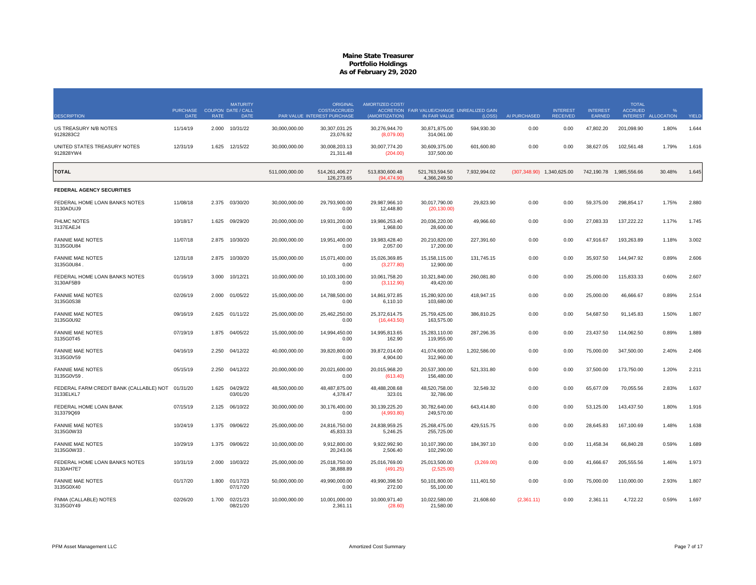| <b>DESCRIPTION</b>                                            | <b>PURCHASE</b><br><b>DATE</b> | <b>RATE</b> | <b>MATURITY</b><br><b>COUPON DATE / CALL</b><br><b>DATE</b> |                | <b>ORIGINAL</b><br><b>COST/ACCRUED</b><br>PAR VALUE INTEREST PURCHASE | AMORTIZED COST/<br>(AMORTIZATION) | ACCRETION FAIR VALUE/CHANGE UNREALIZED GAIN<br>IN FAIR VALUE | (LOSS)       | AI PURCHASED                 | <b>INTEREST</b><br><b>RECEIVED</b> | <b>INTEREST</b><br><b>EARNED</b> | <b>TOTAL</b><br><b>ACCRUED</b><br><b>INTEREST</b> | <b>ALLOCATION</b> | YIELD |
|---------------------------------------------------------------|--------------------------------|-------------|-------------------------------------------------------------|----------------|-----------------------------------------------------------------------|-----------------------------------|--------------------------------------------------------------|--------------|------------------------------|------------------------------------|----------------------------------|---------------------------------------------------|-------------------|-------|
| US TREASURY N/B NOTES                                         | 11/14/19                       | 2.000       | 10/31/22                                                    | 30,000,000.00  | 30,307,031.25                                                         | 30,276,944.70                     | 30,871,875.00                                                | 594,930.30   | 0.00                         | 0.00                               | 47,802.20                        | 201,098.90                                        | 1.80%             | 1.644 |
| 9128283C2                                                     |                                |             |                                                             |                | 23.076.92                                                             | (8.079.00)                        | 314.061.00                                                   |              |                              |                                    |                                  |                                                   |                   |       |
| UNITED STATES TREASURY NOTES<br>912828YW4                     | 12/31/19                       | 1.625       | 12/15/22                                                    | 30,000,000.00  | 30,008,203.13<br>21,311.48                                            | 30,007,774.20<br>(204.00)         | 30,609,375.00<br>337,500.00                                  | 601,600.80   | 0.00                         | 0.00                               | 38,627.05                        | 102,561.48                                        | 1.79%             | 1.616 |
| <b>TOTAL</b>                                                  |                                |             |                                                             | 511,000,000.00 | 514.261.406.27<br>126,273.65                                          | 513.830.600.48<br>(94, 474.90)    | 521,763,594.50<br>4,366,249.50                               | 7,932,994.02 | $(307, 348.90)$ 1,340,625.00 |                                    | 742,190.78                       | 1,985,556.66                                      | 30.48%            | 1.645 |
| FEDERAL AGENCY SECURITIES                                     |                                |             |                                                             |                |                                                                       |                                   |                                                              |              |                              |                                    |                                  |                                                   |                   |       |
| FEDERAL HOME LOAN BANKS NOTES<br>3130ADUJ9                    | 11/08/18                       | 2.375       | 03/30/20                                                    | 30,000,000.00  | 29,793,900.00<br>0.00                                                 | 29,987,966.10<br>12,448.80        | 30,017,790.00<br>(20, 130.00)                                | 29,823.90    | 0.00                         | 0.00                               | 59,375.00                        | 298,854.17                                        | 1.75%             | 2.880 |
| <b>FHLMC NOTES</b><br>3137EAEJ4                               | 10/18/17                       | 1.625       | 09/29/20                                                    | 20,000,000.00  | 19,931,200.00<br>0.00                                                 | 19,986,253.40<br>1,968.00         | 20,036,220.00<br>28,600.00                                   | 49,966.60    | 0.00                         | 0.00                               | 27,083.33                        | 137,222.22                                        | 1.17%             | 1.745 |
| <b>FANNIE MAE NOTES</b><br>3135G0U84                          | 11/07/18                       | 2.875       | 10/30/20                                                    | 20,000,000.00  | 19,951,400.00<br>0.00                                                 | 19,983,428.40<br>2,057.00         | 20,210,820.00<br>17,200.00                                   | 227,391.60   | 0.00                         | 0.00                               | 47,916.67                        | 193,263.89                                        | 1.18%             | 3.002 |
| <b>FANNIE MAE NOTES</b><br>3135G0U84                          | 12/31/18                       | 2.875       | 10/30/20                                                    | 15,000,000.00  | 15,071,400.00<br>0.00                                                 | 15,026,369.85<br>(3,277.80)       | 15,158,115.00<br>12,900.00                                   | 131,745.15   | 0.00                         | 0.00                               | 35,937.50                        | 144,947.92                                        | 0.89%             | 2.606 |
| FEDERAL HOME LOAN BANKS NOTES<br>3130AF5B9                    | 01/16/19                       | 3.000       | 10/12/21                                                    | 10,000,000.00  | 10,103,100.00<br>0.00                                                 | 10,061,758.20<br>(3, 112.90)      | 10,321,840.00<br>49,420.00                                   | 260,081.80   | 0.00                         | 0.00                               | 25,000.00                        | 115,833.33                                        | 0.60%             | 2.607 |
| <b>FANNIE MAE NOTES</b><br>3135G0S38                          | 02/26/19                       | 2.000       | 01/05/22                                                    | 15,000,000.00  | 14,788,500.00<br>0.00                                                 | 14,861,972.85<br>6,110.10         | 15,280,920.00<br>103,680.00                                  | 418,947.15   | 0.00                         | 0.00                               | 25,000.00                        | 46,666.67                                         | 0.89%             | 2.514 |
| <b>FANNIE MAE NOTES</b><br>3135G0U92                          | 09/16/19                       | 2.625       | 01/11/22                                                    | 25,000,000.00  | 25.462.250.00<br>0.00                                                 | 25,372,614.75<br>(16, 443.50)     | 25,759,425.00<br>163,575.00                                  | 386,810.25   | 0.00                         | 0.00                               | 54,687.50                        | 91,145.83                                         | 1.50%             | 1.807 |
| <b>FANNIE MAE NOTES</b><br>3135G0T45                          | 07/19/19                       | 1.875       | 04/05/22                                                    | 15,000,000.00  | 14,994,450.00<br>0.00                                                 | 14,995,813.65<br>162.90           | 15,283,110.00<br>119,955.00                                  | 287,296.35   | 0.00                         | 0.00                               | 23,437.50                        | 114,062.50                                        | 0.89%             | 1.889 |
| <b>FANNIE MAE NOTES</b><br>3135G0V59                          | 04/16/19                       | 2.250       | 04/12/22                                                    | 40,000,000.00  | 39,820,800.00<br>0.00                                                 | 39,872,014.00<br>4,904.00         | 41,074,600.00<br>312,960.00                                  | 1,202,586.00 | 0.00                         | 0.00                               | 75,000.00                        | 347,500.00                                        | 2.40%             | 2.406 |
| <b>FANNIE MAE NOTES</b><br>3135G0V59                          | 05/15/19                       | 2.250       | 04/12/22                                                    | 20,000,000.00  | 20,021,600.00<br>0.00                                                 | 20,015,968.20<br>(613.40)         | 20,537,300.00<br>156,480.00                                  | 521,331.80   | 0.00                         | 0.00                               | 37,500.00                        | 173,750.00                                        | 1.20%             | 2.211 |
| FEDERAL FARM CREDIT BANK (CALLABLE) NOT 01/31/20<br>3133ELKL7 |                                | 1.625       | 04/29/22<br>03/01/20                                        | 48,500,000.00  | 48,487,875.00<br>4,378.47                                             | 48,488,208.68<br>323.01           | 48,520,758.00<br>32,786.00                                   | 32,549.32    | 0.00                         | 0.00                               | 65,677.09                        | 70,055.56                                         | 2.83%             | 1.637 |
| FEDERAL HOME LOAN BANK<br>313379Q69                           | 07/15/19                       | 2.125       | 06/10/22                                                    | 30,000,000.00  | 30,176,400.00<br>0.00                                                 | 30,139,225.20<br>(4,993.80)       | 30,782,640.00<br>249,570.00                                  | 643,414.80   | 0.00                         | 0.00                               | 53,125.00                        | 143,437.50                                        | 1.80%             | 1.916 |
| <b>FANNIE MAE NOTES</b><br>3135G0W33                          | 10/24/19                       | 1.375       | 09/06/22                                                    | 25,000,000.00  | 24.816.750.00<br>45,833.33                                            | 24.838.959.25<br>5,246.25         | 25.268.475.00<br>255,725.00                                  | 429,515.75   | 0.00                         | 0.00                               | 28,645.83                        | 167,100.69                                        | 1.48%             | 1.638 |
| <b>FANNIE MAE NOTES</b><br>3135G0W33                          | 10/29/19                       | 1.375       | 09/06/22                                                    | 10,000,000.00  | 9,912,800.00<br>20,243.06                                             | 9.922.992.90<br>2,506.40          | 10,107,390.00<br>102,290.00                                  | 184,397.10   | 0.00                         | 0.00                               | 11.458.34                        | 66,840.28                                         | 0.59%             | 1.689 |
| FEDERAL HOME LOAN BANKS NOTES<br>3130AH7E7                    | 10/31/19                       | 2.000       | 10/03/22                                                    | 25,000,000.00  | 25,018,750.00<br>38,888.89                                            | 25,016,769.00<br>(491.25)         | 25,013,500.00<br>(2,525.00)                                  | (3,269.00)   | 0.00                         | 0.00                               | 41,666.67                        | 205,555.56                                        | 1.46%             | 1.973 |
| <b>FANNIE MAE NOTES</b><br>3135G0X40                          | 01/17/20                       | 1.800       | 01/17/23<br>07/17/20                                        | 50,000,000.00  | 49,990,000.00<br>0.00                                                 | 49,990,398.50<br>272.00           | 50,101,800.00<br>55.100.00                                   | 111,401.50   | 0.00                         | 0.00                               | 75,000.00                        | 110,000.00                                        | 2.93%             | 1.807 |
| FNMA (CALLABLE) NOTES<br>3135G0Y49                            | 02/26/20                       | 1.700       | 02/21/23<br>08/21/20                                        | 10,000,000.00  | 10,001,000.00<br>2,361.11                                             | 10,000,971.40<br>(28.60)          | 10,022,580.00<br>21,580.00                                   | 21,608.60    | (2,361.11)                   | 0.00                               | 2,361.11                         | 4,722.22                                          | 0.59%             | 1.697 |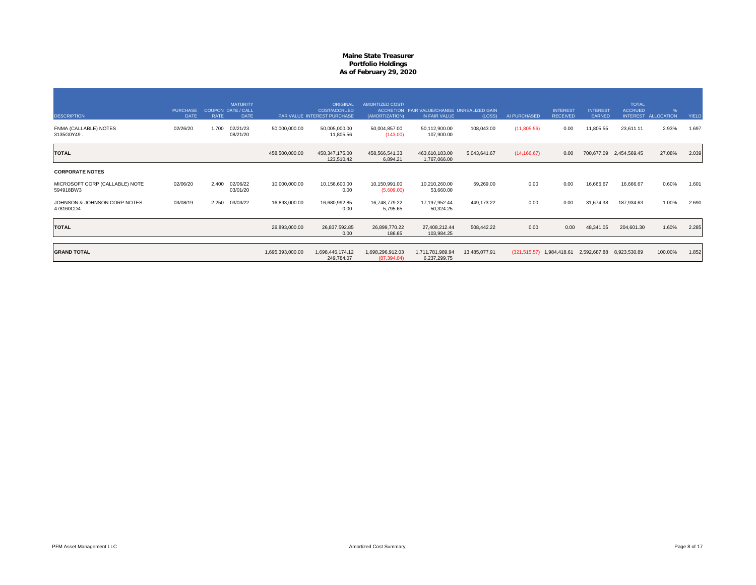| <b>DESCRIPTION</b>                          | <b>PURCHASE</b><br><b>DATE</b> | <b>RATE</b> | <b>MATURITY</b><br><b>COUPON DATE / CALL</b><br><b>DATE</b> |                  | ORIGINAL<br>COST/ACCRUED<br>PAR VALUE INTEREST PURCHASE | AMORTIZED COST/<br>(AMORTIZATION) | ACCRETION FAIR VALUE/CHANGE UNREALIZED GAIN<br>IN FAIR VALUE | (LOSS)        | AI PURCHASED | <b>INTEREST</b><br><b>RECEIVED</b> | <b>INTEREST</b><br><b>EARNED</b> | <b>TOTAL</b><br><b>ACCRUED</b><br><b>INTEREST</b> | <b>ALLOCATION</b> | YIELD |
|---------------------------------------------|--------------------------------|-------------|-------------------------------------------------------------|------------------|---------------------------------------------------------|-----------------------------------|--------------------------------------------------------------|---------------|--------------|------------------------------------|----------------------------------|---------------------------------------------------|-------------------|-------|
| FNMA (CALLABLE) NOTES<br>3135G0Y49.         | 02/26/20                       | 1.700       | 02/21/23<br>08/21/20                                        | 50,000,000.00    | 50,005,000.00<br>11,805.56                              | 50,004,857.00<br>(143.00)         | 50,112,900.00<br>107,900.00                                  | 108,043.00    | (11,805.56)  | 0.00                               | 11,805.55                        | 23,611.11                                         | 2.93%             | 1.697 |
| <b>TOTAL</b>                                |                                |             |                                                             | 458,500,000.00   | 458,347,175.00<br>123,510.42                            | 458,566,541.33<br>6,894.21        | 463,610,183.00<br>1,767,066.00                               | 5,043,641.67  | (14, 166.67) | 0.00                               |                                  | 700,677.09 2,454,569.45                           | 27.08%            | 2.039 |
| <b>CORPORATE NOTES</b>                      |                                |             |                                                             |                  |                                                         |                                   |                                                              |               |              |                                    |                                  |                                                   |                   |       |
| MICROSOFT CORP (CALLABLE) NOTE<br>594918BW3 | 02/06/20                       | 2.400       | 02/06/22<br>03/01/20                                        | 10,000,000.00    | 10,156,600.00<br>0.00                                   | 10,150,991.00<br>(5,609.00)       | 10,210,260.00<br>53,660.00                                   | 59,269.00     | 0.00         | 0.00                               | 16,666.67                        | 16,666.67                                         | 0.60%             | 1.601 |
| JOHNSON & JOHNSON CORP NOTES<br>478160CD4   | 03/08/19                       | 2.250       | 03/03/22                                                    | 16,893,000.00    | 16,680,992.85<br>0.00                                   | 16,748,779.22<br>5,795.65         | 17, 197, 952.44<br>50,324.25                                 | 449,173.22    | 0.00         | 0.00                               | 31,674.38                        | 187,934.63                                        | 1.00%             | 2.690 |
| <b>TOTAL</b>                                |                                |             |                                                             | 26,893,000.00    | 26,837,592.85<br>0.00                                   | 26,899,770.22<br>186.65           | 27,408,212.44<br>103,984.25                                  | 508,442.22    | 0.00         | 0.00                               | 48,341.05                        | 204,601.30                                        | 1.60%             | 2.285 |
| <b>GRAND TOTAL</b>                          |                                |             |                                                             | 1,695,393,000.00 | 1,698,446,174.12<br>249,784.07                          | 1,698,296,912.03<br>(87, 394.04)  | 1,711,781,989.94<br>6,237,299.75                             | 13,485,077.91 |              | $(321, 515.57)$ 1,984,418.61       | 2,592,687.88                     | 8,923,530.89                                      | 100.00%           | 1.852 |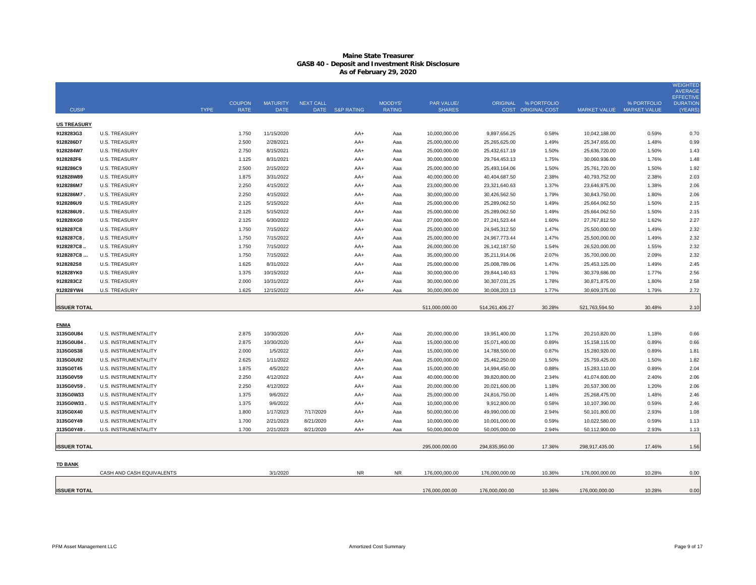## **Maine State Treasurer GASB 40 - Deposit and Investment Risk Disclosure As of February 29, 2020**

|                         |                                              |             |                |                        |                  |                 |               |                                |                                |                      |                                |                | <b>WEIGHTED</b><br><b>AVERAGE</b>   |
|-------------------------|----------------------------------------------|-------------|----------------|------------------------|------------------|-----------------|---------------|--------------------------------|--------------------------------|----------------------|--------------------------------|----------------|-------------------------------------|
|                         |                                              |             | <b>COUPON</b>  | <b>MATURITY</b>        | <b>NEXT CALL</b> |                 | MOODYS'       | PAR VALUE/                     |                                | ORIGINAL % PORTFOLIO |                                | % PORTFOLIO    | <b>EFFECTIVE</b><br><b>DURATION</b> |
| <b>CUSIP</b>            |                                              | <b>TYPE</b> | <b>RATE</b>    | <b>DATE</b>            |                  | DATE S&P RATING | <b>RATING</b> | <b>SHARES</b>                  |                                | COST ORIGINAL COST   | MARKET VALUE MARKET VALUE      |                | (YEARS)                             |
| <b>US TREASURY</b>      |                                              |             |                |                        |                  |                 |               |                                |                                |                      |                                |                |                                     |
| 9128283G3               | <b>U.S. TREASURY</b>                         |             | 1.750          | 11/15/2020             |                  | AA+             | Aaa           | 10,000,000.00                  | 9,897,656.25                   | 0.58%                | 10,042,188.00                  | 0.59%          | 0.70                                |
| 9128286D7               | <b>U.S. TREASURY</b>                         |             | 2.500          | 2/28/2021              |                  | AA+             | Aaa           | 25,000,000.00                  | 25,265,625.00                  | 1.49%                | 25,347,655.00                  | 1.48%          | 0.99                                |
| 9128284W7               | <b>U.S. TREASURY</b>                         |             | 2.750          | 8/15/2021              |                  | AA+             | Aaa           | 25,000,000.00                  | 25,432,617.19                  | 1.50%                | 25,636,720.00                  | 1.50%          | 1.43                                |
| 9128282F6               | <b>U.S. TREASURY</b>                         |             | 1.125          | 8/31/2021              |                  | AA+             | Aaa           | 30,000,000.00                  | 29,764,453.13                  | 1.75%                | 30,060,936.00                  | 1.76%          | 1.48                                |
| 9128286C9               | <b>U.S. TREASURY</b>                         |             | 2.500          | 2/15/2022              |                  | $AA+$           | Aaa           | 25,000,000.00                  | 25,493,164.06                  | 1.50%                | 25,761,720.00                  | 1.50%          | 1.92                                |
| 912828W89               | <b>U.S. TREASURY</b>                         |             | 1.875          | 3/31/2022              |                  | AA+             | Aaa           | 40,000,000.00                  | 40,404,687.50                  | 2.38%                | 40,793,752.00                  | 2.38%          | 2.03                                |
| 9128286M7               | <b>U.S. TREASURY</b>                         |             | 2.250          | 4/15/2022              |                  | AA+             | Aaa           | 23,000,000.00                  | 23,321,640.63                  | 1.37%                | 23,646,875.00                  | 1.38%          | 2.06                                |
| 9128286M7.              | <b>U.S. TREASURY</b>                         |             | 2.250          | 4/15/2022              |                  | AA+             | Aaa           | 30,000,000.00                  | 30,426,562.50                  | 1.79%                | 30,843,750.00                  | 1.80%          | 2.06                                |
| 9128286U9               | <b>U.S. TREASURY</b>                         |             | 2.125          | 5/15/2022              |                  | AA+             | Aaa           | 25,000,000.00                  | 25,289,062.50                  | 1.49%                | 25,664,062.50                  | 1.50%          | 2.15                                |
| 9128286U9.              | <b>U.S. TREASURY</b>                         |             | 2.125          | 5/15/2022              |                  | AA+             | Aaa           | 25,000,000.00                  | 25,289,062.50                  | 1.49%                | 25,664,062.50                  | 1.50%          | 2.15                                |
| 912828XG0               | <b>U.S. TREASURY</b>                         |             | 2.125          | 6/30/2022              |                  | AA+             | Aaa           | 27,000,000.00                  | 27,241,523.44                  | 1.60%                | 27,767,812.50                  | 1.62%          | 2.27                                |
| 9128287C8               | <b>U.S. TREASURY</b>                         |             | 1.750          | 7/15/2022              |                  | $AA+$           | Aaa           | 25,000,000.00                  | 24,945,312.50                  | 1.47%                | 25,500,000.00                  | 1.49%          | 2.32                                |
| 9128287C8.              | <b>U.S. TREASURY</b>                         |             | 1.750          | 7/15/2022              |                  | AA+             | Aaa           | 25,000,000.00                  | 24,967,773.44                  | 1.47%                | 25,500,000.00                  | 1.49%          | 2.32                                |
| 9128287C8.<br>9128287C8 | <b>U.S. TREASURY</b>                         |             | 1.750          | 7/15/2022              |                  | AA+             | Aaa           | 26,000,000.00                  | 26, 142, 187.50                | 1.54%<br>2.07%       | 26,520,000.00                  | 1.55%<br>2.09% | 2.32                                |
| 9128282S8               | <b>U.S. TREASURY</b><br><b>U.S. TREASURY</b> |             | 1.750<br>1.625 | 7/15/2022<br>8/31/2022 |                  | AA+<br>AA+      | Aaa<br>Aaa    | 35,000,000.00<br>25,000,000.00 | 35,211,914.06<br>25,008,789.06 | 1.47%                | 35,700,000.00<br>25,453,125.00 | 1.49%          | 2.32<br>2.45                        |
| 912828YK0               | <b>U.S. TREASURY</b>                         |             | 1.375          | 10/15/2022             |                  | AA+             | Aaa           | 30,000,000.00                  | 29,844,140.63                  | 1.76%                | 30,379,686.00                  | 1.77%          | 2.56                                |
| 9128283C2               | <b>U.S. TREASURY</b>                         |             | 2.000          | 10/31/2022             |                  | AA+             | Aaa           | 30,000,000.00                  | 30,307,031.25                  | 1.78%                | 30,871,875.00                  | 1.80%          | 2.58                                |
| 912828YW4               | <b>U.S. TREASURY</b>                         |             | 1.625          | 12/15/2022             |                  | AA+             | Aaa           | 30,000,000.00                  | 30,008,203.13                  | 1.77%                | 30,609,375.00                  | 1.79%          | 2.72                                |
|                         |                                              |             |                |                        |                  |                 |               |                                |                                |                      |                                |                |                                     |
| <b>ISSUER TOTAL</b>     |                                              |             |                |                        |                  |                 |               | 511,000,000.00                 | 514,261,406.27                 | 30.28%               | 521,763,594.50                 | 30.48%         | 2.10                                |
|                         |                                              |             |                |                        |                  |                 |               |                                |                                |                      |                                |                |                                     |
| <b>FNMA</b>             |                                              |             |                |                        |                  |                 |               |                                |                                |                      |                                |                |                                     |
| 3135G0U84               | U.S. INSTRUMENTALITY                         |             | 2.875          | 10/30/2020             |                  | AA+             | Aaa           | 20,000,000.00                  | 19,951,400.00                  | 1.17%                | 20,210,820.00                  | 1.18%          | 0.66                                |
| 3135G0U84               | U.S. INSTRUMENTALITY                         |             | 2.875          | 10/30/2020             |                  | AA+             | Aaa           | 15,000,000.00                  | 15,071,400.00                  | 0.89%                | 15, 158, 115.00                | 0.89%          | 0.66                                |
| 3135G0S38               | <b>U.S. INSTRUMENTALITY</b>                  |             | 2.000          | 1/5/2022               |                  | AA+             | Aaa           | 15,000,000.00                  | 14,788,500.00                  | 0.87%                | 15,280,920.00                  | 0.89%          | 1.81                                |
| 3135G0U92               | <b>U.S. INSTRUMENTALITY</b>                  |             | 2.625          | 1/11/2022              |                  | AA+             | Aaa           | 25,000,000.00                  | 25,462,250.00                  | 1.50%                | 25,759,425.00                  | 1.50%          | 1.82                                |
| 3135G0T45               | U.S. INSTRUMENTALITY                         |             | 1.875          | 4/5/2022               |                  | AA+             | Aaa           | 15,000,000.00                  | 14,994,450.00                  | 0.88%                | 15,283,110.00                  | 0.89%          | 2.04                                |
| 3135G0V59               | <b>U.S. INSTRUMENTALITY</b>                  |             | 2.250          | 4/12/2022              |                  | $AA+$           | Aaa           | 40,000,000.00                  | 39,820,800.00                  | 2.34%                | 41,074,600.00                  | 2.40%          | 2.06                                |
| 3135G0V59               | U.S. INSTRUMENTALITY                         |             | 2.250          | 4/12/2022              |                  | AA+             | Aaa           | 20,000,000.00                  | 20,021,600.00                  | 1.18%                | 20,537,300.00                  | 1.20%          | 2.06                                |
| 3135G0W33               | <b>U.S. INSTRUMENTALITY</b>                  |             | 1.375          | 9/6/2022               |                  | AA+             | Aaa           | 25,000,000.00                  | 24,816,750.00                  | 1.46%                | 25,268,475.00                  | 1.48%          | 2.46                                |
| 3135G0W33               | U.S. INSTRUMENTALITY                         |             | 1.375          | 9/6/2022               |                  | AA+             | Aaa           | 10,000,000.00                  | 9,912,800.00                   | 0.58%                | 10,107,390.00                  | 0.59%          | 2.46                                |
| 3135G0X40               | <b>U.S. INSTRUMENTALITY</b>                  |             | 1.800          | 1/17/2023              | 7/17/2020        | $AA+$           | Aaa           | 50,000,000.00                  | 49,990,000.00                  | 2.94%                | 50,101,800.00                  | 2.93%          | 1.08                                |
| 3135G0Y49               | <b>U.S. INSTRUMENTALITY</b>                  |             | 1.700          | 2/21/2023              | 8/21/2020        | AA+             | Aaa           | 10,000,000.00                  | 10,001,000.00                  | 0.59%                | 10,022,580.00                  | 0.59%          | 1.13                                |
| 3135G0Y49               | <b>U.S. INSTRUMENTALITY</b>                  |             | 1.700          | 2/21/2023              | 8/21/2020        | $AA+$           | Aaa           | 50,000,000.00                  | 50,005,000.00                  | 2.94%                | 50,112,900.00                  | 2.93%          | 1.13                                |
| <b>ISSUER TOTAL</b>     |                                              |             |                |                        |                  |                 |               | 295,000,000.00                 | 294,835,950.00                 | 17.36%               | 298,917,435.00                 | 17.46%         | 1.56                                |
|                         |                                              |             |                |                        |                  |                 |               |                                |                                |                      |                                |                |                                     |
| <u>TD BANK</u>          |                                              |             |                |                        |                  |                 |               |                                |                                |                      |                                |                |                                     |
|                         | CASH AND CASH EQUIVALENTS                    |             |                | 3/1/2020               |                  | <b>NR</b>       | <b>NR</b>     | 176.000.000.00                 | 176.000.000.00                 | 10.36%               | 176.000.000.00                 | 10.28%         | 0.00                                |
|                         |                                              |             |                |                        |                  |                 |               |                                |                                |                      |                                |                |                                     |
| <b>ISSUER TOTAL</b>     |                                              |             |                |                        |                  |                 |               | 176,000,000.00                 | 176,000,000.00                 | 10.36%               | 176,000,000.00                 | 10.28%         | 0.00                                |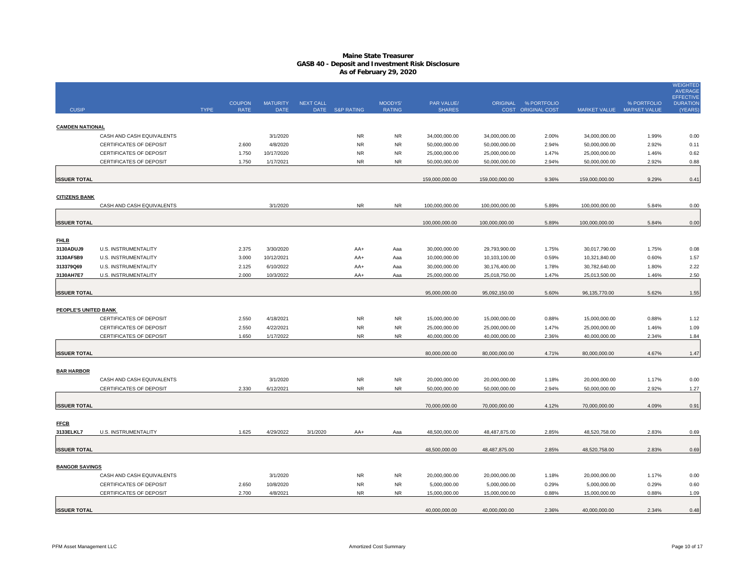## **Maine State Treasurer GASB 40 - Deposit and Investment Risk Disclosure As of February 29, 2020**

|                          |                                |             | <b>COUPON</b> | <b>MATURITY</b> | <b>NEXT CALL</b> |                       | MOODYS'       | PAR VALUE/     |                | ORIGINAL % PORTFOLIO |                           | % PORTFOLIO | <b>WEIGHTED</b><br><b>AVERAGE</b><br><b>EFFECTIVE</b><br><b>DURATION</b> |
|--------------------------|--------------------------------|-------------|---------------|-----------------|------------------|-----------------------|---------------|----------------|----------------|----------------------|---------------------------|-------------|--------------------------------------------------------------------------|
| <b>CUSIP</b>             |                                | <b>TYPE</b> | <b>RATE</b>   | <b>DATE</b>     | DATE             | <b>S&amp;P RATING</b> | <b>RATING</b> | <b>SHARES</b>  |                | COST ORIGINAL COST   | MARKET VALUE MARKET VALUE |             | (YEARS)                                                                  |
| <b>CAMDEN NATIONAL</b>   |                                |             |               |                 |                  |                       |               |                |                |                      |                           |             |                                                                          |
|                          | CASH AND CASH EQUIVALENTS      |             |               | 3/1/2020        |                  | <b>NR</b>             | <b>NR</b>     | 34,000,000.00  | 34,000,000.00  | 2.00%                | 34,000,000.00             | 1.99%       | 0.00                                                                     |
|                          | <b>CERTIFICATES OF DEPOSIT</b> |             | 2.600         | 4/8/2020        |                  | <b>NR</b>             | <b>NR</b>     | 50,000,000.00  | 50,000,000.00  | 2.94%                | 50,000,000.00             | 2.92%       | 0.11                                                                     |
|                          | CERTIFICATES OF DEPOSIT        |             | 1.750         | 10/17/2020      |                  | <b>NR</b>             | <b>NR</b>     | 25,000,000.00  | 25,000,000.00  | 1.47%                | 25,000,000.00             | 1.46%       | 0.62                                                                     |
|                          | CERTIFICATES OF DEPOSIT        |             | 1.750         | 1/17/2021       |                  | <b>NR</b>             | <b>NR</b>     | 50,000,000.00  | 50,000,000.00  | 2.94%                | 50,000,000.00             | 2.92%       | 0.88                                                                     |
| <b>ISSUER TOTAL</b>      |                                |             |               |                 |                  |                       |               | 159,000,000.00 | 159,000,000.00 | 9.36%                | 159,000,000.00            | 9.29%       | 0.41                                                                     |
|                          |                                |             |               |                 |                  |                       |               |                |                |                      |                           |             |                                                                          |
| <b>CITIZENS BANK</b>     | CASH AND CASH EQUIVALENTS      |             |               | 3/1/2020        |                  | NR                    | <b>NR</b>     | 100,000,000.00 | 100,000,000.00 | 5.89%                | 100,000,000.00            | 5.84%       | 0.00                                                                     |
|                          |                                |             |               |                 |                  |                       |               |                |                |                      |                           |             |                                                                          |
| <b>ISSUER TOTAL</b>      |                                |             |               |                 |                  |                       |               | 100,000,000.00 | 100,000,000.00 | 5.89%                | 100,000,000.00            | 5.84%       | 0.00                                                                     |
|                          |                                |             |               |                 |                  |                       |               |                |                |                      |                           |             |                                                                          |
| <b>FHLB</b><br>3130ADUJ9 | U.S. INSTRUMENTALITY           |             | 2.375         | 3/30/2020       |                  | AA+                   | Aaa           | 30,000,000.00  | 29,793,900.00  | 1.75%                | 30,017,790.00             | 1.75%       | 0.08                                                                     |
| 3130AF5B9                | U.S. INSTRUMENTALITY           |             | 3.000         | 10/12/2021      |                  | AA+                   | Aaa           | 10,000,000.00  | 10,103,100.00  | 0.59%                | 10,321,840.00             | 0.60%       | 1.57                                                                     |
| 313379Q69                | <b>U.S. INSTRUMENTALITY</b>    |             | 2.125         | 6/10/2022       |                  | AA+                   | Aaa           | 30,000,000.00  | 30,176,400.00  | 1.78%                | 30,782,640.00             | 1.80%       | 2.22                                                                     |
| 3130AH7E7                | U.S. INSTRUMENTALITY           |             | 2.000         | 10/3/2022       |                  | AA+                   | Aaa           | 25,000,000.00  | 25,018,750.00  | 1.47%                | 25,013,500.00             | 1.46%       | 2.50                                                                     |
|                          |                                |             |               |                 |                  |                       |               |                |                |                      |                           |             |                                                                          |
| <b>ISSUER TOTAL</b>      |                                |             |               |                 |                  |                       |               | 95,000,000.00  | 95,092,150.00  | 5.60%                | 96,135,770.00             | 5.62%       | 1.55                                                                     |
| PEOPLE'S UNITED BANK     |                                |             |               |                 |                  |                       |               |                |                |                      |                           |             |                                                                          |
|                          | <b>CERTIFICATES OF DEPOSIT</b> |             | 2.550         | 4/18/2021       |                  | <b>NR</b>             | <b>NR</b>     | 15,000,000.00  | 15,000,000.00  | 0.88%                | 15,000,000.00             | 0.88%       | 1.12                                                                     |
|                          | <b>CERTIFICATES OF DEPOSIT</b> |             | 2.550         | 4/22/2021       |                  | <b>NR</b>             | <b>NR</b>     | 25,000,000.00  | 25,000,000.00  | 1.47%                | 25,000,000.00             | 1.46%       | 1.09                                                                     |
|                          | CERTIFICATES OF DEPOSIT        |             | 1.650         | 1/17/2022       |                  | <b>NR</b>             | <b>NR</b>     | 40,000,000.00  | 40,000,000.00  | 2.36%                | 40,000,000.00             | 2.34%       | 1.84                                                                     |
|                          |                                |             |               |                 |                  |                       |               |                |                |                      |                           |             |                                                                          |
| <b>ISSUER TOTAL</b>      |                                |             |               |                 |                  |                       |               | 80,000,000.00  | 80,000,000.00  | 4.71%                | 80,000,000.00             | 4.67%       | 1.47                                                                     |
| <b>BAR HARBOR</b>        |                                |             |               |                 |                  |                       |               |                |                |                      |                           |             |                                                                          |
|                          | CASH AND CASH EQUIVALENTS      |             |               | 3/1/2020        |                  | <b>NR</b>             | <b>NR</b>     | 20,000,000.00  | 20,000,000.00  | 1.18%                | 20,000,000.00             | 1.17%       | 0.00                                                                     |
|                          | CERTIFICATES OF DEPOSIT        |             | 2.330         | 6/12/2021       |                  | <b>NR</b>             | <b>NR</b>     | 50,000,000.00  | 50,000,000.00  | 2.94%                | 50,000,000.00             | 2.92%       | 1.27                                                                     |
|                          |                                |             |               |                 |                  |                       |               |                |                |                      |                           |             |                                                                          |
| <b>ISSUER TOTAL</b>      |                                |             |               |                 |                  |                       |               | 70,000,000.00  | 70,000,000.00  | 4.12%                | 70,000,000.00             | 4.09%       | 0.91                                                                     |
|                          |                                |             |               |                 |                  |                       |               |                |                |                      |                           |             |                                                                          |
| <b>FFCB</b><br>3133ELKL7 | <b>U.S. INSTRUMENTALITY</b>    |             | 1.625         | 4/29/2022       | 3/1/2020         | AA+                   | Aaa           | 48,500,000.00  | 48,487,875.00  | 2.85%                | 48,520,758.00             | 2.83%       | 0.69                                                                     |
|                          |                                |             |               |                 |                  |                       |               |                |                |                      |                           |             |                                                                          |
| <b>ISSUER TOTAL</b>      |                                |             |               |                 |                  |                       |               | 48,500,000.00  | 48,487,875.00  | 2.85%                | 48,520,758.00             | 2.83%       | 0.69                                                                     |
| <b>BANGOR SAVINGS</b>    |                                |             |               |                 |                  |                       |               |                |                |                      |                           |             |                                                                          |
|                          | CASH AND CASH EQUIVALENTS      |             |               | 3/1/2020        |                  | <b>NR</b>             | <b>NR</b>     | 20,000,000.00  | 20,000,000.00  | 1.18%                | 20,000,000.00             | 1.17%       | 0.00                                                                     |
|                          | <b>CERTIFICATES OF DEPOSIT</b> |             | 2.650         | 10/8/2020       |                  | <b>NR</b>             | <b>NR</b>     | 5,000,000.00   | 5,000,000.00   | 0.29%                | 5,000,000.00              | 0.29%       | 0.60                                                                     |
|                          | CERTIFICATES OF DEPOSIT        |             | 2.700         | 4/8/2021        |                  | <b>NR</b>             | <b>NR</b>     | 15,000,000.00  | 15,000,000.00  | 0.88%                | 15,000,000.00             | 0.88%       | 1.09                                                                     |
|                          |                                |             |               |                 |                  |                       |               |                |                |                      |                           |             |                                                                          |
| <b>ISSUER TOTAL</b>      |                                |             |               |                 |                  |                       |               | 40,000,000.00  | 40,000,000.00  | 2.36%                | 40,000,000.00             | 2.34%       | 0.48                                                                     |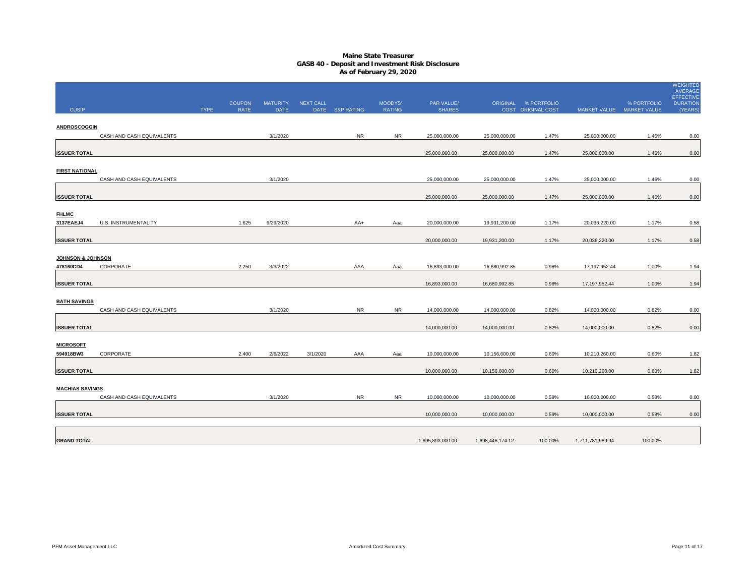## **Maine State Treasurer GASB 40 - Deposit and Investment Risk Disclosure As of February 29, 2020**

|                                           |                           |             | <b>COUPON</b> | <b>MATURITY</b> | <b>NEXT CALL</b> |                 | MOODYS'       | PAR VALUE/       |                  | ORIGINAL % PORTFOLIO |                           | % PORTFOLIO | <b>WEIGHTED</b><br>AVERAGE<br><b>EFFECTIVE</b><br><b>DURATION</b> |
|-------------------------------------------|---------------------------|-------------|---------------|-----------------|------------------|-----------------|---------------|------------------|------------------|----------------------|---------------------------|-------------|-------------------------------------------------------------------|
| <b>CUSIP</b>                              |                           | <b>TYPE</b> | <b>RATE</b>   | <b>DATE</b>     |                  | DATE S&P RATING | <b>RATING</b> | <b>SHARES</b>    |                  | COST ORIGINAL COST   | MARKET VALUE MARKET VALUE |             | (YEARS)                                                           |
| ANDROSCOGGIN                              | CASH AND CASH EQUIVALENTS |             |               | 3/1/2020        |                  | <b>NR</b>       | <b>NR</b>     | 25,000,000.00    | 25,000,000.00    | 1.47%                | 25,000,000.00             | 1.46%       | 0.00                                                              |
| <b>ISSUER TOTAL</b>                       |                           |             |               |                 |                  |                 |               | 25,000,000.00    | 25,000,000.00    | 1.47%                | 25,000,000.00             | 1.46%       | 0.00                                                              |
| <b>FIRST NATIONAL</b>                     |                           |             |               |                 |                  |                 |               |                  |                  |                      |                           |             |                                                                   |
|                                           | CASH AND CASH EQUIVALENTS |             |               | 3/1/2020        |                  |                 |               | 25,000,000.00    | 25,000,000.00    | 1.47%                | 25,000,000.00             | 1.46%       | 0.00                                                              |
| <b>ISSUER TOTAL</b>                       |                           |             |               |                 |                  |                 |               | 25,000,000.00    | 25,000,000.00    | 1.47%                | 25,000,000.00             | 1.46%       | 0.00                                                              |
| <b>FHLMC</b><br>3137EAEJ4                 | U.S. INSTRUMENTALITY      |             | 1.625         | 9/29/2020       |                  | AA+             | Aaa           | 20,000,000.00    | 19,931,200.00    | 1.17%                | 20,036,220.00             | 1.17%       | 0.58                                                              |
| <b>ISSUER TOTAL</b>                       |                           |             |               |                 |                  |                 |               | 20,000,000.00    | 19,931,200.00    | 1.17%                | 20,036,220.00             | 1.17%       | 0.58                                                              |
| <b>JOHNSON &amp; JOHNSON</b><br>478160CD4 | CORPORATE                 |             | 2.250         | 3/3/2022        |                  | AAA             | Aaa           | 16,893,000.00    | 16,680,992.85    | 0.98%                | 17, 197, 952.44           | 1.00%       | 1.94                                                              |
| <b>ISSUER TOTAL</b>                       |                           |             |               |                 |                  |                 |               | 16,893,000.00    | 16,680,992.85    | 0.98%                | 17, 197, 952.44           | 1.00%       | 1.94                                                              |
| <b>BATH SAVINGS</b>                       | CASH AND CASH EQUIVALENTS |             |               | 3/1/2020        |                  | <b>NR</b>       | <b>NR</b>     | 14,000,000.00    | 14,000,000.00    | 0.82%                | 14,000,000.00             | 0.82%       | 0.00                                                              |
| <b>ISSUER TOTAL</b>                       |                           |             |               |                 |                  |                 |               | 14,000,000.00    | 14,000,000.00    | 0.82%                | 14,000,000.00             | 0.82%       | 0.00                                                              |
| <b>MICROSOFT</b><br>594918BW3             | CORPORATE                 |             | 2.400         | 2/6/2022        | 3/1/2020         | AAA             | Aaa           | 10,000,000.00    | 10,156,600.00    | 0.60%                | 10,210,260.00             | 0.60%       | 1.82                                                              |
| <b>ISSUER TOTAL</b>                       |                           |             |               |                 |                  |                 |               | 10,000,000.00    | 10,156,600.00    | 0.60%                | 10,210,260.00             | 0.60%       | 1.82                                                              |
| <b>MACHIAS SAVINGS</b>                    |                           |             |               |                 |                  |                 |               |                  |                  |                      |                           |             |                                                                   |
|                                           | CASH AND CASH EQUIVALENTS |             |               | 3/1/2020        |                  | <b>NR</b>       | <b>NR</b>     | 10,000,000.00    | 10,000,000.00    | 0.59%                | 10,000,000.00             | 0.58%       | 0.00                                                              |
| <b>ISSUER TOTAL</b>                       |                           |             |               |                 |                  |                 |               | 10,000,000.00    | 10,000,000.00    | 0.59%                | 10,000,000.00             | 0.58%       | 0.00                                                              |
| <b>GRAND TOTAL</b>                        |                           |             |               |                 |                  |                 |               | 1,695,393,000.00 | 1,698,446,174.12 | 100.00%              | 1,711,781,989.94          | 100.00%     |                                                                   |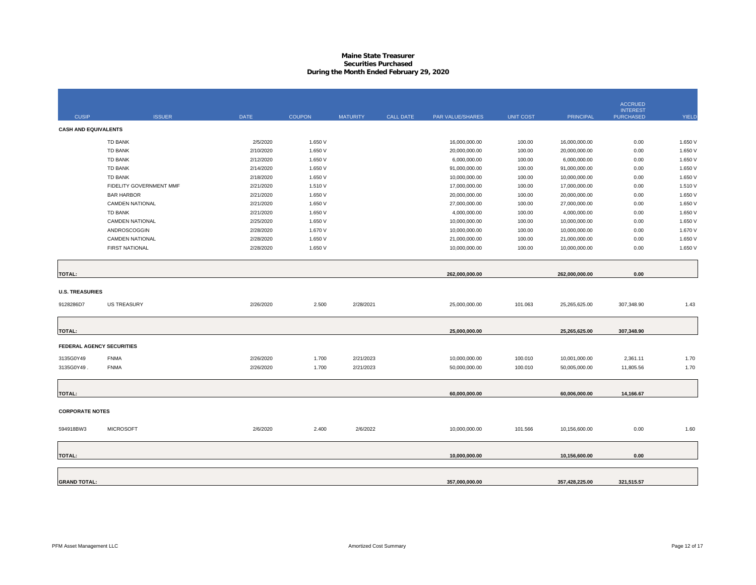## **Maine State Treasurer Securities PurchasedDuring the Month Ended February 29, 2020**

| <b>CUSIP</b>                | <b>ISSUER</b>           | <b>DATE</b> | <b>COUPON</b> | <b>MATURITY</b> | <b>CALL DATE</b> | <b>PAR VALUE/SHARES</b> | <b>UNIT COST</b> | <b>PRINCIPAL</b> | <b>ACCRUED</b><br><b>INTEREST</b><br><b>PURCHASED</b> | <b>YIELD</b> |
|-----------------------------|-------------------------|-------------|---------------|-----------------|------------------|-------------------------|------------------|------------------|-------------------------------------------------------|--------------|
|                             |                         |             |               |                 |                  |                         |                  |                  |                                                       |              |
| <b>CASH AND EQUIVALENTS</b> |                         |             |               |                 |                  |                         |                  |                  |                                                       |              |
|                             | <b>TD BANK</b>          | 2/5/2020    | 1.650 V       |                 |                  | 16,000,000.00           | 100.00           | 16,000,000.00    | 0.00                                                  | 1.650 V      |
|                             | TD BANK                 | 2/10/2020   | 1.650 V       |                 |                  | 20,000,000.00           | 100.00           | 20,000,000.00    | 0.00                                                  | 1.650 V      |
|                             | TD BANK                 | 2/12/2020   | 1.650 V       |                 |                  | 6,000,000.00            | 100.00           | 6,000,000.00     | 0.00                                                  | 1.650 V      |
|                             | TD BANK                 | 2/14/2020   | 1.650 V       |                 |                  | 91,000,000.00           | 100.00           | 91,000,000.00    | 0.00                                                  | 1.650 V      |
|                             | TD BANK                 | 2/18/2020   | 1.650 V       |                 |                  | 10,000,000.00           | 100.00           | 10,000,000.00    | 0.00                                                  | 1.650 V      |
|                             | FIDELITY GOVERNMENT MMF | 2/21/2020   | 1.510 V       |                 |                  | 17,000,000.00           | 100.00           | 17,000,000.00    | 0.00                                                  | 1.510 V      |
|                             | <b>BAR HARBOR</b>       | 2/21/2020   | 1.650 V       |                 |                  | 20,000,000.00           | 100.00           | 20,000,000.00    | 0.00                                                  | 1.650 V      |
|                             | <b>CAMDEN NATIONAL</b>  | 2/21/2020   | 1.650 V       |                 |                  | 27,000,000.00           | 100.00           | 27,000,000.00    | 0.00                                                  | 1.650 V      |
|                             | TD BANK                 | 2/21/2020   | 1.650 V       |                 |                  | 4,000,000.00            | 100.00           | 4,000,000.00     | 0.00                                                  | 1.650 V      |
|                             | <b>CAMDEN NATIONAL</b>  | 2/25/2020   | 1.650 V       |                 |                  | 10,000,000.00           | 100.00           | 10,000,000.00    | 0.00                                                  | 1.650 V      |
|                             | ANDROSCOGGIN            | 2/28/2020   | 1.670 V       |                 |                  | 10,000,000.00           | 100.00           | 10,000,000.00    | 0.00                                                  | 1.670 V      |
|                             | <b>CAMDEN NATIONAL</b>  | 2/28/2020   | 1.650 V       |                 |                  | 21,000,000.00           | 100.00           | 21,000,000.00    | 0.00                                                  | 1.650 V      |
|                             | <b>FIRST NATIONAL</b>   | 2/28/2020   | 1.650 V       |                 |                  | 10,000,000.00           | 100.00           | 10,000,000.00    | 0.00                                                  | 1.650 V      |
|                             |                         |             |               |                 |                  |                         |                  |                  |                                                       |              |
| <b>TOTAL:</b>               |                         |             |               |                 |                  | 262,000,000.00          |                  | 262,000,000.00   | 0.00                                                  |              |
| <b>U.S. TREASURIES</b>      |                         |             |               |                 |                  |                         |                  |                  |                                                       |              |
| 9128286D7                   | <b>US TREASURY</b>      | 2/26/2020   | 2.500         | 2/28/2021       |                  | 25,000,000.00           | 101.063          | 25,265,625.00    | 307,348.90                                            | 1.43         |
| <b>TOTAL:</b>               |                         |             |               |                 |                  | 25,000,000.00           |                  | 25,265,625.00    | 307,348.90                                            |              |
| FEDERAL AGENCY SECURITIES   |                         |             |               |                 |                  |                         |                  |                  |                                                       |              |
| 3135G0Y49                   | <b>FNMA</b>             | 2/26/2020   | 1.700         | 2/21/2023       |                  | 10,000,000.00           | 100.010          | 10,001,000.00    | 2,361.11                                              | 1.70         |
| 3135G0Y49.                  | <b>FNMA</b>             | 2/26/2020   | 1.700         | 2/21/2023       |                  | 50,000,000.00           | 100.010          | 50,005,000.00    | 11,805.56                                             | 1.70         |
|                             |                         |             |               |                 |                  |                         |                  |                  |                                                       |              |
| <b>TOTAL:</b>               |                         |             |               |                 |                  | 60,000,000.00           |                  | 60,006,000.00    | 14,166.67                                             |              |
|                             |                         |             |               |                 |                  |                         |                  |                  |                                                       |              |
| <b>CORPORATE NOTES</b>      |                         |             |               |                 |                  |                         |                  |                  |                                                       |              |
| 594918BW3                   | <b>MICROSOFT</b>        | 2/6/2020    | 2.400         | 2/6/2022        |                  | 10,000,000.00           | 101.566          | 10,156,600.00    | 0.00                                                  | 1.60         |
|                             |                         |             |               |                 |                  | 10,000,000.00           |                  | 10,156,600.00    | 0.00                                                  |              |
| <b>TOTAL:</b>               |                         |             |               |                 |                  |                         |                  |                  |                                                       |              |
|                             |                         |             |               |                 |                  |                         |                  |                  |                                                       |              |
| <b>GRAND TOTAL:</b>         |                         |             |               |                 |                  | 357,000,000.00          |                  | 357,428,225.00   | 321,515.57                                            |              |
|                             |                         |             |               |                 |                  |                         |                  |                  |                                                       |              |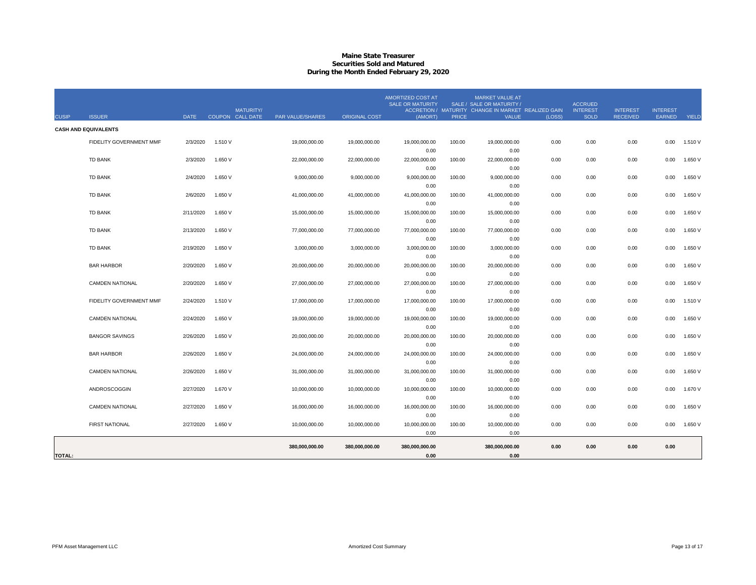## **Maine State Treasurer Securities Sold and MaturedDuring the Month Ended February 29, 2020**

| <b>CUSIP</b>  | <b>ISSUER</b>               | <b>DATE</b> |         | <b>MATURITY/</b><br>COUPON CALL DATE | PAR VALUE/SHARES | <b>ORIGINAL COST</b> | <b>AMORTIZED COST AT</b><br><b>SALE OR MATURITY</b><br>(AMORT) | <b>PRICE</b> | <b>MARKET VALUE AT</b><br>SALE / SALE OR MATURITY /<br>ACCRETION / MATURITY CHANGE IN MARKET REALIZED GAIN<br>VALUE | (LOSS) | <b>ACCRUED</b><br><b>INTEREST</b><br><b>SOLD</b> | <b>INTEREST</b><br><b>RECEIVED</b> | <b>INTEREST</b><br>EARNED | YIELD   |
|---------------|-----------------------------|-------------|---------|--------------------------------------|------------------|----------------------|----------------------------------------------------------------|--------------|---------------------------------------------------------------------------------------------------------------------|--------|--------------------------------------------------|------------------------------------|---------------------------|---------|
|               | <b>CASH AND EQUIVALENTS</b> |             |         |                                      |                  |                      |                                                                |              |                                                                                                                     |        |                                                  |                                    |                           |         |
|               | FIDELITY GOVERNMENT MMF     | 2/3/2020    | 1.510 V |                                      | 19,000,000.00    | 19,000,000.00        | 19,000,000.00                                                  | 100.00       | 19,000,000.00                                                                                                       | 0.00   | 0.00                                             | 0.00                               | 0.00                      | 1.510 V |
|               |                             |             |         |                                      |                  |                      | 0.00                                                           |              | 0.00                                                                                                                |        |                                                  |                                    |                           |         |
|               | <b>TD BANK</b>              | 2/3/2020    | 1.650 V |                                      | 22,000,000.00    | 22.000.000.00        | 22,000,000.00                                                  | 100.00       | 22,000,000.00                                                                                                       | 0.00   | 0.00                                             | 0.00                               | 0.00                      | 1.650 V |
|               |                             |             |         |                                      |                  |                      | 0.00                                                           |              | 0.00                                                                                                                |        |                                                  |                                    |                           |         |
|               | <b>TD BANK</b>              | 2/4/2020    | 1.650 V |                                      | 9.000.000.00     | 9.000.000.00         | 9,000,000.00                                                   | 100.00       | 9,000,000.00                                                                                                        | 0.00   | 0.00                                             | 0.00                               | 0.00                      | 1.650 V |
|               |                             |             |         |                                      |                  |                      | 0.00                                                           |              | 0.00                                                                                                                |        |                                                  |                                    |                           |         |
|               | <b>TD BANK</b>              | 2/6/2020    | 1.650 V |                                      | 41,000,000.00    | 41,000,000.00        | 41,000,000.00                                                  | 100.00       | 41,000,000.00                                                                                                       | 0.00   | 0.00                                             | 0.00                               | 0.00                      | 1.650 V |
|               |                             |             |         |                                      |                  |                      | 0.00                                                           |              | 0.00                                                                                                                |        |                                                  |                                    |                           |         |
|               | <b>TD BANK</b>              | 2/11/2020   | 1.650 V |                                      | 15,000,000.00    | 15,000,000.00        | 15,000,000.00<br>0.00                                          | 100.00       | 15,000,000.00<br>0.00                                                                                               | 0.00   | 0.00                                             | 0.00                               | 0.00                      | 1.650 V |
|               | <b>TD BANK</b>              | 2/13/2020   | 1.650 V |                                      | 77,000,000.00    | 77,000,000.00        | 77,000,000.00                                                  | 100.00       | 77,000,000.00                                                                                                       | 0.00   | 0.00                                             | 0.00                               | 0.00                      | 1.650 V |
|               |                             |             |         |                                      |                  |                      | 0.00                                                           |              | 0.00                                                                                                                |        |                                                  |                                    |                           |         |
|               | <b>TD BANK</b>              | 2/19/2020   | 1.650 V |                                      | 3,000,000.00     | 3,000,000.00         | 3,000,000.00                                                   | 100.00       | 3,000,000.00                                                                                                        | 0.00   | 0.00                                             | 0.00                               | 0.00                      | 1.650 V |
|               |                             |             |         |                                      |                  |                      | 0.00                                                           |              | 0.00                                                                                                                |        |                                                  |                                    |                           |         |
|               | <b>BAR HARBOR</b>           | 2/20/2020   | 1.650 V |                                      | 20,000,000.00    | 20,000,000.00        | 20,000,000.00                                                  | 100.00       | 20,000,000.00                                                                                                       | 0.00   | 0.00                                             | 0.00                               | 0.00                      | 1.650 V |
|               |                             |             |         |                                      |                  |                      | 0.00                                                           |              | 0.00                                                                                                                |        |                                                  |                                    |                           |         |
|               | <b>CAMDEN NATIONAL</b>      | 2/20/2020   | 1.650 V |                                      | 27,000,000.00    | 27,000,000.00        | 27,000,000.00                                                  | 100.00       | 27,000,000.00                                                                                                       | 0.00   | 0.00                                             | 0.00                               | 0.00                      | 1.650 V |
|               |                             |             |         |                                      |                  |                      | 0.00                                                           |              | 0.00                                                                                                                |        |                                                  |                                    |                           |         |
|               | FIDELITY GOVERNMENT MMF     | 2/24/2020   | 1.510 V |                                      | 17,000,000.00    | 17,000,000.00        | 17,000,000.00                                                  | 100.00       | 17,000,000.00                                                                                                       | 0.00   | 0.00                                             | 0.00                               | 0.00                      | 1.510 V |
|               |                             |             |         |                                      |                  |                      | 0.00                                                           |              | 0.00                                                                                                                |        |                                                  |                                    |                           |         |
|               | <b>CAMDEN NATIONAL</b>      | 2/24/2020   | 1.650 V |                                      | 19,000,000.00    | 19,000,000.00        | 19,000,000.00                                                  | 100.00       | 19,000,000.00                                                                                                       | 0.00   | 0.00                                             | 0.00                               | 0.00                      | 1.650 V |
|               |                             |             |         |                                      |                  |                      | 0.00                                                           |              | 0.00                                                                                                                |        |                                                  |                                    |                           |         |
|               | <b>BANGOR SAVINGS</b>       | 2/26/2020   | 1.650 V |                                      | 20,000,000.00    | 20,000,000.00        | 20,000,000.00                                                  | 100.00       | 20,000,000.00                                                                                                       | 0.00   | 0.00                                             | 0.00                               | 0.00                      | 1.650 V |
|               |                             |             |         |                                      |                  |                      | 0.00                                                           |              | 0.00                                                                                                                |        |                                                  |                                    |                           |         |
|               | <b>BAR HARBOR</b>           | 2/26/2020   | 1.650 V |                                      | 24,000,000.00    | 24,000,000.00        | 24,000,000.00                                                  | 100.00       | 24,000,000.00                                                                                                       | 0.00   | 0.00                                             | 0.00                               | 0.00                      | 1.650 V |
|               | <b>CAMDEN NATIONAL</b>      | 2/26/2020   | 1.650 V |                                      | 31,000,000.00    | 31,000,000.00        | 0.00<br>31,000,000.00                                          | 100.00       | 0.00<br>31,000,000.00                                                                                               | 0.00   | 0.00                                             | 0.00                               | 0.00                      | 1.650 V |
|               |                             |             |         |                                      |                  |                      | 0.00                                                           |              | 0.00                                                                                                                |        |                                                  |                                    |                           |         |
|               | ANDROSCOGGIN                | 2/27/2020   | 1.670 V |                                      | 10,000,000.00    | 10,000,000.00        | 10,000,000.00                                                  | 100.00       | 10,000,000.00                                                                                                       | 0.00   | 0.00                                             | 0.00                               | 0.00                      | 1.670 V |
|               |                             |             |         |                                      |                  |                      | 0.00                                                           |              | 0.00                                                                                                                |        |                                                  |                                    |                           |         |
|               | <b>CAMDEN NATIONAL</b>      | 2/27/2020   | 1.650 V |                                      | 16,000,000.00    | 16,000,000.00        | 16,000,000.00                                                  | 100.00       | 16,000,000.00                                                                                                       | 0.00   | 0.00                                             | 0.00                               | 0.00                      | 1.650 V |
|               |                             |             |         |                                      |                  |                      | 0.00                                                           |              | 0.00                                                                                                                |        |                                                  |                                    |                           |         |
|               | <b>FIRST NATIONAL</b>       | 2/27/2020   | 1.650 V |                                      | 10,000,000.00    | 10,000,000.00        | 10,000,000.00                                                  | 100.00       | 10,000,000.00                                                                                                       | 0.00   | 0.00                                             | 0.00                               | 0.00                      | 1.650 V |
|               |                             |             |         |                                      |                  |                      | 0.00                                                           |              | 0.00                                                                                                                |        |                                                  |                                    |                           |         |
|               |                             |             |         |                                      | 380,000,000.00   | 380,000,000.00       | 380,000,000.00                                                 |              | 380,000,000.00                                                                                                      | 0.00   | 0.00                                             | 0.00                               | 0.00                      |         |
| <b>TOTAL:</b> |                             |             |         |                                      |                  |                      | 0.00                                                           |              | 0.00                                                                                                                |        |                                                  |                                    |                           |         |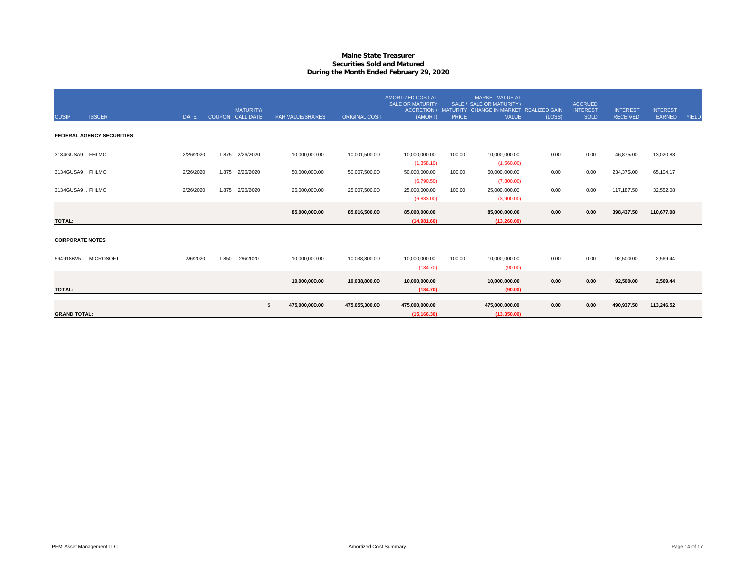## **Maine State Treasurer Securities Sold and MaturedDuring the Month Ended February 29, 2020**

| <b>CUSIP</b>           | <b>ISSUER</b>                    | <b>DATE</b> |       | <b>MATURITY/</b><br>COUPON CALL DATE | PAR VALUE/SHARES | <b>ORIGINAL COST</b> | AMORTIZED COST AT<br><b>SALE OR MATURITY</b><br>(AMORT) | <b>PRICE</b> | <b>MARKET VALUE AT</b><br>SALE / SALE OR MATURITY /<br>ACCRETION / MATURITY CHANGE IN MARKET REALIZED GAIN<br><b>VALUE</b> | (LOSS) | <b>ACCRUED</b><br><b>INTEREST</b><br><b>SOLD</b> | <b>INTEREST</b><br><b>RECEIVED</b> | <b>INTEREST</b><br>EARNED | <b>YIELD</b> |
|------------------------|----------------------------------|-------------|-------|--------------------------------------|------------------|----------------------|---------------------------------------------------------|--------------|----------------------------------------------------------------------------------------------------------------------------|--------|--------------------------------------------------|------------------------------------|---------------------------|--------------|
|                        | <b>FEDERAL AGENCY SECURITIES</b> |             |       |                                      |                  |                      |                                                         |              |                                                                                                                            |        |                                                  |                                    |                           |              |
| 3134GUSA9 FHLMC        |                                  | 2/26/2020   | 1.875 | 2/26/2020                            | 10,000,000.00    | 10,001,500.00        | 10,000,000.00<br>(1,358.10)                             | 100.00       | 10,000,000.00<br>(1,560.00)                                                                                                | 0.00   | 0.00                                             | 46,875.00                          | 13,020.83                 |              |
| 3134GUSA9. FHLMC       |                                  | 2/26/2020   | 1.875 | 2/26/2020                            | 50,000,000.00    | 50,007,500.00        | 50,000,000.00<br>(6,790.50)                             | 100.00       | 50,000,000.00<br>(7,800.00)                                                                                                | 0.00   | 0.00                                             | 234,375.00                         | 65,104.17                 |              |
| 3134GUSA9  FHLMC       |                                  | 2/26/2020   | 1.875 | 2/26/2020                            | 25,000,000.00    | 25,007,500.00        | 25,000,000.00<br>(6.833.00)                             | 100.00       | 25,000,000.00<br>(3,900.00)                                                                                                | 0.00   | 0.00                                             | 117,187.50                         | 32,552.08                 |              |
| <b>TOTAL:</b>          |                                  |             |       |                                      | 85,000,000.00    | 85,016,500.00        | 85,000,000.00<br>(14.981.60)                            |              | 85.000.000.00<br>(13.260.00)                                                                                               | 0.00   | 0.00                                             | 398,437.50                         | 110,677.08                |              |
| <b>CORPORATE NOTES</b> |                                  |             |       |                                      |                  |                      |                                                         |              |                                                                                                                            |        |                                                  |                                    |                           |              |
| 594918BV5              | <b>MICROSOFT</b>                 | 2/6/2020    | 1.850 | 2/6/2020                             | 10,000,000.00    | 10,038,800.00        | 10,000,000.00<br>(184.70)                               | 100.00       | 10,000,000.00<br>(90.00)                                                                                                   | 0.00   | 0.00                                             | 92,500.00                          | 2,569.44                  |              |
|                        |                                  |             |       |                                      |                  |                      |                                                         |              |                                                                                                                            |        |                                                  |                                    |                           |              |
| <b>TOTAL:</b>          |                                  |             |       |                                      | 10,000,000.00    | 10,038,800.00        | 10,000,000.00<br>(184.70)                               |              | 10,000,000.00<br>(90.00)                                                                                                   | 0.00   | 0.00                                             | 92,500.00                          | 2,569.44                  |              |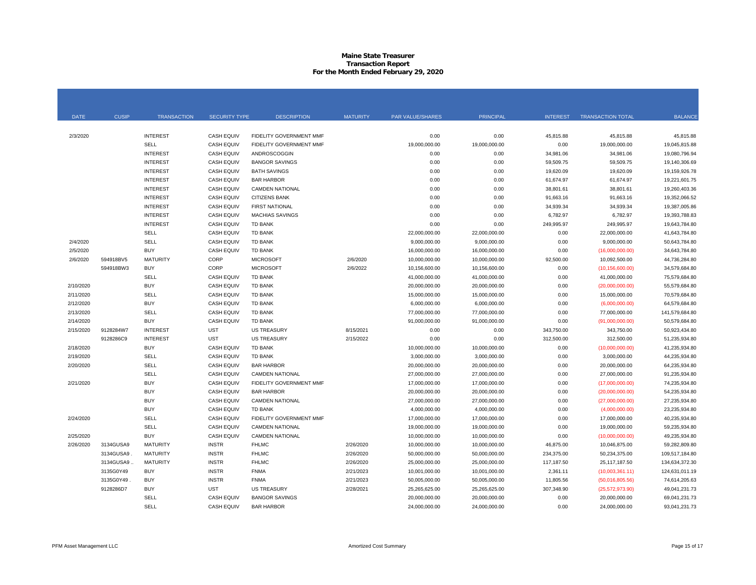#### **Maine State Treasurer Transaction Report For the Month Ended February 29, 2020**

| <b>DATE</b> | <b>CUSIP</b> | <b>TRANSACTION</b> | <b>SECURITY TYPE</b> | <b>DESCRIPTION</b>      | <b>MATURITY</b> | <b>PAR VALUE/SHARES</b> | <b>PRINCIPAL</b> | <b>INTEREST</b> | <b>TRANSACTION TOTAL</b> | <b>BALANCE</b> |
|-------------|--------------|--------------------|----------------------|-------------------------|-----------------|-------------------------|------------------|-----------------|--------------------------|----------------|
|             |              |                    |                      |                         |                 |                         |                  |                 |                          |                |
| 2/3/2020    |              | <b>INTEREST</b>    | <b>CASH EQUIV</b>    | FIDELITY GOVERNMENT MMF |                 | 0.00                    | 0.00             | 45,815.88       | 45,815.88                | 45,815.88      |
|             |              | <b>SELL</b>        | <b>CASH EQUIV</b>    | FIDELITY GOVERNMENT MMF |                 | 19,000,000.00           | 19,000,000.00    | 0.00            | 19,000,000.00            | 19,045,815.88  |
|             |              | <b>INTEREST</b>    | <b>CASH EQUIV</b>    | ANDROSCOGGIN            |                 | 0.00                    | 0.00             | 34,981.06       | 34,981.06                | 19,080,796.94  |
|             |              | <b>INTEREST</b>    | <b>CASH EQUIV</b>    | <b>BANGOR SAVINGS</b>   |                 | 0.00                    | 0.00             | 59,509.75       | 59,509.75                | 19,140,306.69  |
|             |              | <b>INTEREST</b>    | <b>CASH EQUIV</b>    | <b>BATH SAVINGS</b>     |                 | 0.00                    | 0.00             | 19,620.09       | 19,620.09                | 19,159,926.78  |
|             |              | <b>INTEREST</b>    | <b>CASH EQUIV</b>    | <b>BAR HARBOR</b>       |                 | 0.00                    | 0.00             | 61,674.97       | 61,674.97                | 19,221,601.75  |
|             |              | <b>INTEREST</b>    | <b>CASH EQUIV</b>    | <b>CAMDEN NATIONAL</b>  |                 | 0.00                    | 0.00             | 38,801.61       | 38,801.61                | 19,260,403.36  |
|             |              | <b>INTEREST</b>    | <b>CASH EQUIV</b>    | <b>CITIZENS BANK</b>    |                 | 0.00                    | 0.00             | 91,663.16       | 91,663.16                | 19,352,066.52  |
|             |              | <b>INTEREST</b>    | <b>CASH EQUIV</b>    | <b>FIRST NATIONAL</b>   |                 | 0.00                    | 0.00             | 34,939.34       | 34,939.34                | 19,387,005.86  |
|             |              | <b>INTEREST</b>    | <b>CASH EQUIV</b>    | <b>MACHIAS SAVINGS</b>  |                 | 0.00                    | 0.00             | 6,782.97        | 6,782.97                 | 19,393,788.83  |
|             |              | <b>INTEREST</b>    | <b>CASH EQUIV</b>    | <b>TD BANK</b>          |                 | 0.00                    | 0.00             | 249,995.97      | 249,995.97               | 19,643,784.80  |
|             |              | SELL               | <b>CASH EQUIV</b>    | TD BANK                 |                 | 22,000,000.00           | 22,000,000.00    | 0.00            | 22,000,000.00            | 41,643,784.80  |
| 2/4/2020    |              | <b>SELL</b>        | <b>CASH EQUIV</b>    | <b>TD BANK</b>          |                 | 9,000,000.00            | 9,000,000.00     | 0.00            | 9,000,000.00             | 50,643,784.80  |
| 2/5/2020    |              | <b>BUY</b>         | <b>CASH EQUIV</b>    | <b>TD BANK</b>          |                 | 16,000,000.00           | 16,000,000.00    | 0.00            | (16,000,000.00)          | 34,643,784.80  |
| 2/6/2020    | 594918BV5    | <b>MATURITY</b>    | CORP                 | <b>MICROSOFT</b>        | 2/6/2020        | 10,000,000.00           | 10,000,000.00    | 92,500.00       | 10,092,500.00            | 44,736,284.80  |
|             | 594918BW3    | <b>BUY</b>         | CORP                 | <b>MICROSOFT</b>        | 2/6/2022        | 10,156,600.00           | 10,156,600.00    | 0.00            | (10, 156, 600.00)        | 34,579,684.80  |
|             |              | <b>SELL</b>        | <b>CASH EQUIV</b>    | <b>TD BANK</b>          |                 | 41,000,000.00           | 41,000,000.00    | 0.00            | 41,000,000.00            | 75,579,684.80  |
| 2/10/2020   |              | <b>BUY</b>         | <b>CASH EQUIV</b>    | <b>TD BANK</b>          |                 | 20,000,000.00           | 20,000,000.00    | 0.00            | (20,000,000.00)          | 55,579,684.80  |
| 2/11/2020   |              | SELL               | <b>CASH EQUIV</b>    | <b>TD BANK</b>          |                 | 15,000,000.00           | 15,000,000.00    | 0.00            | 15,000,000.00            | 70,579,684.80  |
| 2/12/2020   |              | <b>BUY</b>         | <b>CASH EQUIV</b>    | TD BANK                 |                 | 6,000,000.00            | 6,000,000.00     | 0.00            | (6,000,000.00)           | 64,579,684.80  |
| 2/13/2020   |              | SELL               | <b>CASH EQUIV</b>    | TD BANK                 |                 | 77,000,000.00           | 77,000,000.00    | 0.00            | 77,000,000.00            | 141,579,684.80 |
| 2/14/2020   |              | <b>BUY</b>         | CASH EQUIV           | <b>TD BANK</b>          |                 | 91,000,000.00           | 91,000,000.00    | 0.00            | (91,000,000.00)          | 50,579,684.80  |
| 2/15/2020   | 9128284W7    | <b>INTEREST</b>    | <b>UST</b>           | <b>US TREASURY</b>      | 8/15/2021       | 0.00                    | 0.00             | 343,750.00      | 343,750.00               | 50,923,434.80  |
|             | 9128286C9    | <b>INTEREST</b>    | <b>UST</b>           | <b>US TREASURY</b>      | 2/15/2022       | 0.00                    | 0.00             | 312,500.00      | 312,500.00               | 51,235,934.80  |
| 2/18/2020   |              | <b>BUY</b>         | <b>CASH EQUIV</b>    | <b>TD BANK</b>          |                 | 10,000,000.00           | 10,000,000.00    | 0.00            | (10,000,000.00)          | 41,235,934.80  |
| 2/19/2020   |              | <b>SELL</b>        | <b>CASH EQUIV</b>    | <b>TD BANK</b>          |                 | 3,000,000.00            | 3,000,000.00     | 0.00            | 3,000,000.00             | 44.235.934.80  |
| 2/20/2020   |              | <b>SELL</b>        | <b>CASH EQUIV</b>    | <b>BAR HARBOR</b>       |                 | 20,000,000.00           | 20,000,000.00    | 0.00            | 20,000,000.00            | 64,235,934.80  |
|             |              | <b>SELL</b>        | <b>CASH EQUIV</b>    | <b>CAMDEN NATIONAL</b>  |                 | 27,000,000.00           | 27,000,000.00    | 0.00            | 27,000,000.00            | 91,235,934.80  |
| 2/21/2020   |              | <b>BUY</b>         | <b>CASH EQUIV</b>    | FIDELITY GOVERNMENT MMF |                 | 17,000,000.00           | 17,000,000.00    | 0.00            | (17,000,000.00)          | 74,235,934.80  |
|             |              | <b>BUY</b>         | <b>CASH EQUIV</b>    | <b>BAR HARBOR</b>       |                 | 20,000,000.00           | 20,000,000.00    | 0.00            | (20,000,000.00)          | 54,235,934.80  |
|             |              | <b>BUY</b>         | <b>CASH EQUIV</b>    | <b>CAMDEN NATIONAL</b>  |                 | 27,000,000.00           | 27,000,000.00    | 0.00            | (27,000,000.00)          | 27,235,934.80  |
|             |              | <b>BUY</b>         | <b>CASH EQUIV</b>    | <b>TD BANK</b>          |                 | 4,000,000.00            | 4,000,000.00     | 0.00            | (4,000,000.00)           | 23,235,934.80  |
| 2/24/2020   |              | <b>SELL</b>        | <b>CASH EQUIV</b>    | FIDELITY GOVERNMENT MMF |                 | 17,000,000.00           | 17,000,000.00    | 0.00            | 17,000,000.00            | 40,235,934.80  |
|             |              | SELL               | <b>CASH EQUIV</b>    | <b>CAMDEN NATIONAL</b>  |                 | 19,000,000.00           | 19,000,000.00    | 0.00            | 19,000,000.00            | 59,235,934.80  |
| 2/25/2020   |              | <b>BUY</b>         | <b>CASH EQUIV</b>    | <b>CAMDEN NATIONAL</b>  |                 | 10,000,000.00           | 10,000,000.00    | 0.00            | (10,000,000.00)          | 49,235,934.80  |
| 2/26/2020   | 3134GUSA9    | <b>MATURITY</b>    | <b>INSTR</b>         | <b>FHLMC</b>            | 2/26/2020       | 10,000,000.00           | 10,000,000.00    | 46,875.00       | 10,046,875.00            | 59,282,809.80  |
|             | 3134GUSA9    | <b>MATURITY</b>    | <b>INSTR</b>         | <b>FHLMC</b>            | 2/26/2020       | 50,000,000.00           | 50,000,000.00    | 234,375.00      | 50,234,375.00            | 109,517,184.80 |
|             | 3134GUSA9    | <b>MATURITY</b>    | <b>INSTR</b>         | <b>FHLMC</b>            | 2/26/2020       | 25,000,000.00           | 25,000,000.00    | 117,187.50      | 25,117,187.50            | 134,634,372.30 |
|             | 3135G0Y49    | <b>BUY</b>         | <b>INSTR</b>         | <b>FNMA</b>             | 2/21/2023       | 10,001,000.00           | 10,001,000.00    | 2,361.11        | (10,003,361.11)          | 124,631,011.19 |
|             | 3135G0Y49    | <b>BUY</b>         | <b>INSTR</b>         | <b>FNMA</b>             | 2/21/2023       | 50,005,000.00           | 50,005,000.00    | 11,805.56       | (50,016,805.56)          | 74,614,205.63  |
|             | 9128286D7    | <b>BUY</b>         | <b>UST</b>           | <b>US TREASURY</b>      | 2/28/2021       | 25,265,625.00           | 25,265,625.00    | 307,348.90      | (25,572,973.90)          | 49,041,231.73  |
|             |              | <b>SELL</b>        | <b>CASH EQUIV</b>    | <b>BANGOR SAVINGS</b>   |                 | 20,000,000.00           | 20,000,000.00    | 0.00            | 20,000,000.00            | 69,041,231.73  |
|             |              | <b>SELL</b>        | <b>CASH EQUIV</b>    | <b>BAR HARBOR</b>       |                 | 24,000,000.00           | 24,000,000.00    | 0.00            | 24,000,000.00            | 93,041,231.73  |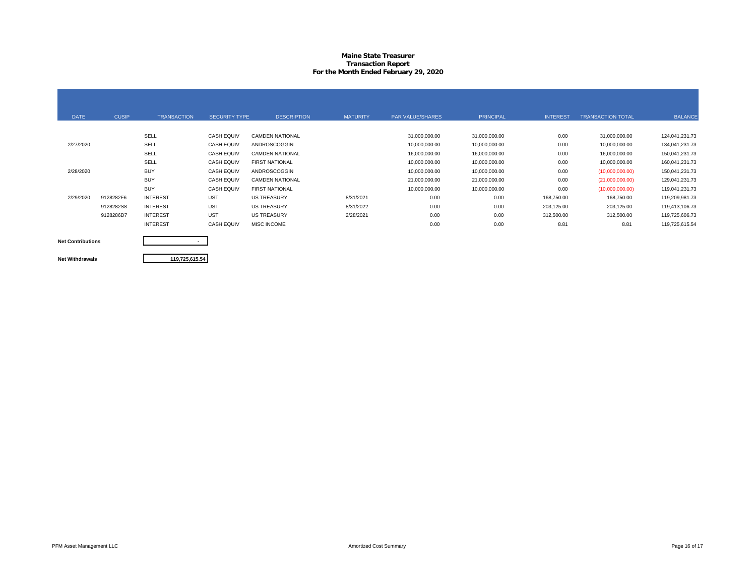#### **Maine State Treasurer Transaction Report For the Month Ended February 29, 2020**

| <b>DATE</b> | <b>CUSIP</b> | <b>TRANSACTION</b> | <b>SECURITY TYPE</b> | <b>DESCRIPTION</b>     | <b>MATURITY</b> | <b>PAR VALUE/SHARES</b> | <b>PRINCIPAL</b> | <b>INTEREST</b> | <b>TRANSACTION TOTAL</b> | <b>BALANCE</b> |
|-------------|--------------|--------------------|----------------------|------------------------|-----------------|-------------------------|------------------|-----------------|--------------------------|----------------|
|             |              |                    |                      |                        |                 |                         |                  |                 |                          |                |
|             |              | SELL               | <b>CASH EQUIV</b>    | <b>CAMDEN NATIONAL</b> |                 | 31,000,000.00           | 31,000,000.00    | 0.00            | 31,000,000.00            | 124,041,231.73 |
| 2/27/2020   |              | SELL               | <b>CASH EQUIV</b>    | <b>ANDROSCOGGIN</b>    |                 | 10,000,000.00           | 10,000,000.00    | 0.00            | 10,000,000.00            | 134,041,231.73 |
|             |              | SELL               | <b>CASH EQUIV</b>    | <b>CAMDEN NATIONAL</b> |                 | 16,000,000.00           | 16,000,000.00    | 0.00            | 16,000,000.00            | 150,041,231.73 |
|             |              | SELL               | <b>CASH EQUIV</b>    | <b>FIRST NATIONAL</b>  |                 | 10,000,000.00           | 10,000,000.00    | 0.00            | 10,000,000.00            | 160,041,231.73 |
| 2/28/2020   |              | <b>BUY</b>         | <b>CASH EQUIV</b>    | ANDROSCOGGIN           |                 | 10,000,000.00           | 10,000,000.00    | 0.00            | (10,000,000,00)          | 150,041,231.73 |
|             |              | <b>BUY</b>         | <b>CASH EQUIV</b>    | <b>CAMDEN NATIONAL</b> |                 | 21,000,000.00           | 21,000,000.00    | 0.00            | (21,000,000.00)          | 129,041,231.73 |
|             |              | <b>BUY</b>         | <b>CASH EQUIV</b>    | <b>FIRST NATIONAL</b>  |                 | 10,000,000.00           | 10,000,000.00    | 0.00            | (10,000,000.00)          | 119,041,231.73 |
| 2/29/2020   | 9128282F6    | <b>INTEREST</b>    | <b>UST</b>           | <b>US TREASURY</b>     | 8/31/2021       | 0.00                    | 0.00             | 168,750.00      | 168,750.00               | 119,209,981.73 |
|             | 9128282S8    | <b>INTEREST</b>    | <b>UST</b>           | <b>US TREASURY</b>     | 8/31/2022       | 0.00                    | 0.00             | 203,125.00      | 203,125.00               | 119,413,106.73 |
|             | 9128286D7    | <b>INTEREST</b>    | <b>UST</b>           | <b>US TREASURY</b>     | 2/28/2021       | 0.00                    | 0.00             | 312,500.00      | 312,500.00               | 119,725,606.73 |
|             |              | <b>INTEREST</b>    | <b>CASH EQUIV</b>    | MISC INCOME            |                 | 0.00                    | 0.00             | 8.81            | 8.81                     | 119,725,615.54 |

**Net Contributions Net Withdrawals**

**119,725,615.54**

**-**

PFM Asset Management LLC **Example 2006** 17 Case of 17 Amortized Cost Summary Page 16 of 17 Amortized Cost Summary Page 16 of 17